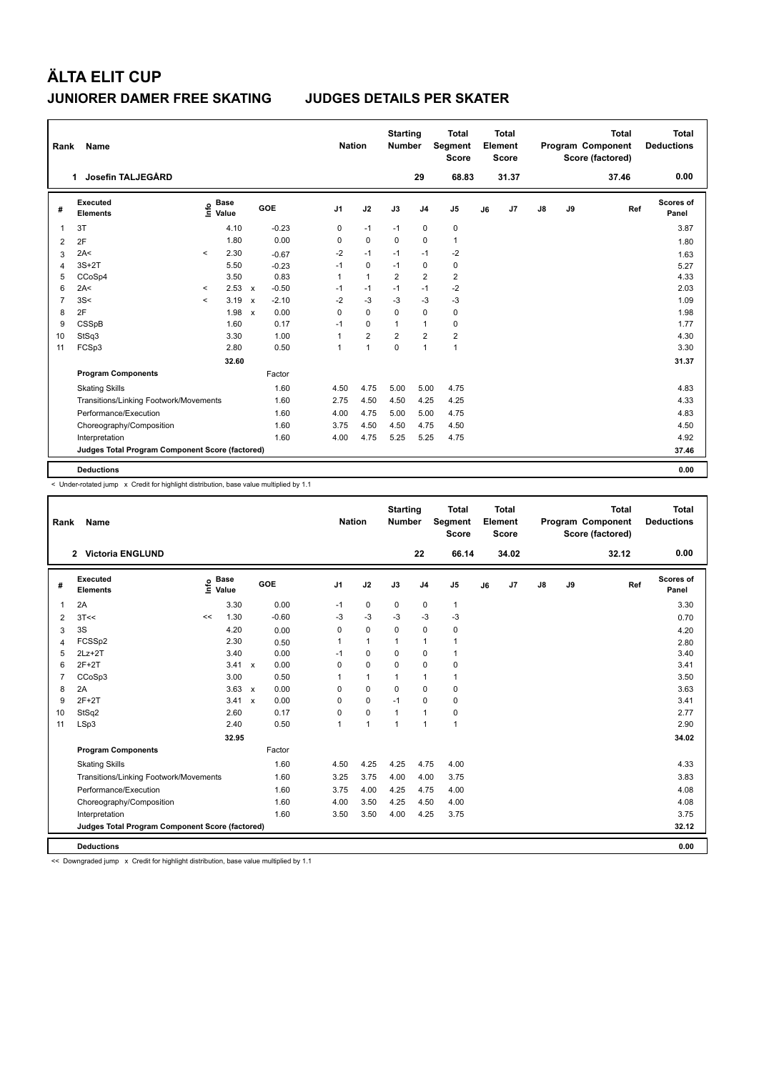| Rank           | Name                                            |         |                      |                           |         | <b>Nation</b>  |                | <b>Starting</b><br><b>Number</b> |                | <b>Total</b><br>Segment<br><b>Score</b> |    | <b>Total</b><br>Element<br><b>Score</b> |               |    | <b>Total</b><br>Program Component<br>Score (factored) | <b>Total</b><br><b>Deductions</b> |
|----------------|-------------------------------------------------|---------|----------------------|---------------------------|---------|----------------|----------------|----------------------------------|----------------|-----------------------------------------|----|-----------------------------------------|---------------|----|-------------------------------------------------------|-----------------------------------|
|                | Josefin TALJEGÅRD<br>$\mathbf 1$                |         |                      |                           |         |                |                |                                  | 29             | 68.83                                   |    | 31.37                                   |               |    | 37.46                                                 | 0.00                              |
| #              | <b>Executed</b><br><b>Elements</b>              | ۴ô      | <b>Base</b><br>Value |                           | GOE     | J <sub>1</sub> | J2             | J3                               | J <sub>4</sub> | J <sub>5</sub>                          | J6 | J7                                      | $\mathsf{J}8$ | J9 | Ref                                                   | <b>Scores of</b><br>Panel         |
| 1              | 3T                                              |         | 4.10                 |                           | $-0.23$ | 0              | $-1$           | $-1$                             | $\mathbf 0$    | 0                                       |    |                                         |               |    |                                                       | 3.87                              |
| 2              | 2F                                              |         | 1.80                 |                           | 0.00    | 0              | $\mathbf 0$    | 0                                | $\mathbf 0$    | $\mathbf{1}$                            |    |                                         |               |    |                                                       | 1.80                              |
| 3              | 2A<                                             | $\,<$   | 2.30                 |                           | $-0.67$ | $-2$           | $-1$           | $-1$                             | $-1$           | $-2$                                    |    |                                         |               |    |                                                       | 1.63                              |
| 4              | $3S+2T$                                         |         | 5.50                 |                           | $-0.23$ | $-1$           | 0              | $-1$                             | 0              | 0                                       |    |                                         |               |    |                                                       | 5.27                              |
| 5              | CCoSp4                                          |         | 3.50                 |                           | 0.83    | $\mathbf{1}$   | $\overline{1}$ | $\overline{2}$                   | $\overline{2}$ | $\overline{2}$                          |    |                                         |               |    |                                                       | 4.33                              |
| 6              | 2A<                                             | $\,<$   | 2.53                 | $\boldsymbol{\mathsf{x}}$ | $-0.50$ | $-1$           | $-1$           | $-1$                             | $-1$           | $-2$                                    |    |                                         |               |    |                                                       | 2.03                              |
| $\overline{7}$ | 3S<                                             | $\prec$ | 3.19                 | $\boldsymbol{\mathsf{x}}$ | $-2.10$ | $-2$           | $-3$           | -3                               | -3             | $-3$                                    |    |                                         |               |    |                                                       | 1.09                              |
| 8              | 2F                                              |         | 1.98                 | $\boldsymbol{\mathsf{x}}$ | 0.00    | 0              | $\Omega$       | $\Omega$                         | $\mathbf 0$    | 0                                       |    |                                         |               |    |                                                       | 1.98                              |
| 9              | <b>CSSpB</b>                                    |         | 1.60                 |                           | 0.17    | $-1$           | 0              | $\mathbf{1}$                     | $\mathbf{1}$   | 0                                       |    |                                         |               |    |                                                       | 1.77                              |
| 10             | StSq3                                           |         | 3.30                 |                           | 1.00    | 1              | $\overline{2}$ | $\overline{2}$                   | $\overline{2}$ | $\overline{\mathbf{c}}$                 |    |                                         |               |    |                                                       | 4.30                              |
| 11             | FCSp3                                           |         | 2.80                 |                           | 0.50    | 1              | $\overline{1}$ | $\Omega$                         | $\mathbf{1}$   | $\overline{1}$                          |    |                                         |               |    |                                                       | 3.30                              |
|                |                                                 |         | 32.60                |                           |         |                |                |                                  |                |                                         |    |                                         |               |    |                                                       | 31.37                             |
|                | <b>Program Components</b>                       |         |                      |                           | Factor  |                |                |                                  |                |                                         |    |                                         |               |    |                                                       |                                   |
|                | <b>Skating Skills</b>                           |         |                      |                           | 1.60    | 4.50           | 4.75           | 5.00                             | 5.00           | 4.75                                    |    |                                         |               |    |                                                       | 4.83                              |
|                | Transitions/Linking Footwork/Movements          |         |                      |                           | 1.60    | 2.75           | 4.50           | 4.50                             | 4.25           | 4.25                                    |    |                                         |               |    |                                                       | 4.33                              |
|                | Performance/Execution                           |         |                      |                           | 1.60    | 4.00           | 4.75           | 5.00                             | 5.00           | 4.75                                    |    |                                         |               |    |                                                       | 4.83                              |
|                | Choreography/Composition                        |         |                      |                           | 1.60    | 3.75           | 4.50           | 4.50                             | 4.75           | 4.50                                    |    |                                         |               |    |                                                       | 4.50                              |
|                | Interpretation                                  |         |                      |                           | 1.60    | 4.00           | 4.75           | 5.25                             | 5.25           | 4.75                                    |    |                                         |               |    |                                                       | 4.92                              |
|                | Judges Total Program Component Score (factored) |         |                      |                           |         |                |                |                                  |                |                                         |    |                                         |               |    |                                                       | 37.46                             |
|                | <b>Deductions</b>                               |         |                      |                           |         |                |                |                                  |                |                                         |    |                                         |               |    |                                                       | 0.00                              |

< Under-rotated jump x Credit for highlight distribution, base value multiplied by 1.1

| Rank           | Name                                            |    |                      | <b>Nation</b>        | <b>Starting</b><br><b>Number</b> |              | <b>Total</b><br>Segment<br><b>Score</b> |                | <b>Total</b><br>Element<br><b>Score</b> |    |                | <b>Total</b><br>Program Component<br>Score (factored) | <b>Total</b><br><b>Deductions</b> |       |                    |
|----------------|-------------------------------------------------|----|----------------------|----------------------|----------------------------------|--------------|-----------------------------------------|----------------|-----------------------------------------|----|----------------|-------------------------------------------------------|-----------------------------------|-------|--------------------|
|                | 2 Victoria ENGLUND                              |    |                      |                      |                                  |              |                                         | 22             | 66.14                                   |    | 34.02          |                                                       |                                   | 32.12 | 0.00               |
| #              | Executed<br><b>Elements</b>                     | ١ų | <b>Base</b><br>Value | <b>GOE</b>           | J1                               | J2           | J3                                      | J <sub>4</sub> | J5                                      | J6 | J <sub>7</sub> | J8                                                    | J9                                | Ref   | Scores of<br>Panel |
| 1              | 2A                                              |    | 3.30                 | 0.00                 | $-1$                             | $\mathbf 0$  | 0                                       | 0              | $\mathbf{1}$                            |    |                |                                                       |                                   |       | 3.30               |
| 2              | 3T<<                                            | << | 1.30                 | $-0.60$              | $-3$                             | $-3$         | $-3$                                    | $-3$           | $-3$                                    |    |                |                                                       |                                   |       | 0.70               |
| 3              | 3S                                              |    | 4.20                 | 0.00                 | 0                                | $\mathbf 0$  | 0                                       | 0              | 0                                       |    |                |                                                       |                                   |       | 4.20               |
| $\overline{4}$ | FCSSp2                                          |    | 2.30                 | 0.50                 | 1                                | $\mathbf{1}$ | 1                                       | $\mathbf{1}$   | 1                                       |    |                |                                                       |                                   |       | 2.80               |
| 5              | $2Lz+2T$                                        |    | 3.40                 | 0.00                 | $-1$                             | 0            | $\Omega$                                | 0              | 1                                       |    |                |                                                       |                                   |       | 3.40               |
| 6              | $2F+2T$                                         |    | $3.41 \times$        | 0.00                 | $\Omega$                         | 0            | 0                                       | 0              | 0                                       |    |                |                                                       |                                   |       | 3.41               |
| 7              | CCoSp3                                          |    | 3.00                 | 0.50                 |                                  | $\mathbf{1}$ |                                         | 1              | 1                                       |    |                |                                                       |                                   |       | 3.50               |
| 8              | 2A                                              |    | $3.63 \times$        | 0.00                 | 0                                | 0            | 0                                       | 0              | 0                                       |    |                |                                                       |                                   |       | 3.63               |
| 9              | $2F+2T$                                         |    | 3.41                 | 0.00<br>$\mathsf{x}$ | $\Omega$                         | $\Omega$     | $-1$                                    | $\Omega$       | 0                                       |    |                |                                                       |                                   |       | 3.41               |
| 10             | StSq2                                           |    | 2.60                 | 0.17                 | $\Omega$                         | 0            | 1                                       | $\mathbf{1}$   | 0                                       |    |                |                                                       |                                   |       | 2.77               |
| 11             | LSp3                                            |    | 2.40                 | 0.50                 | 1                                | $\mathbf{1}$ | $\overline{1}$                          | $\mathbf{1}$   | $\mathbf{1}$                            |    |                |                                                       |                                   |       | 2.90               |
|                |                                                 |    | 32.95                |                      |                                  |              |                                         |                |                                         |    |                |                                                       |                                   |       | 34.02              |
|                | <b>Program Components</b>                       |    |                      | Factor               |                                  |              |                                         |                |                                         |    |                |                                                       |                                   |       |                    |
|                | <b>Skating Skills</b>                           |    |                      | 1.60                 | 4.50                             | 4.25         | 4.25                                    | 4.75           | 4.00                                    |    |                |                                                       |                                   |       | 4.33               |
|                | Transitions/Linking Footwork/Movements          |    |                      | 1.60                 | 3.25                             | 3.75         | 4.00                                    | 4.00           | 3.75                                    |    |                |                                                       |                                   |       | 3.83               |
|                | Performance/Execution                           |    |                      | 1.60                 | 3.75                             | 4.00         | 4.25                                    | 4.75           | 4.00                                    |    |                |                                                       |                                   |       | 4.08               |
|                | Choreography/Composition                        |    |                      | 1.60                 | 4.00                             | 3.50         | 4.25                                    | 4.50           | 4.00                                    |    |                |                                                       |                                   |       | 4.08               |
|                | Interpretation                                  |    |                      | 1.60                 | 3.50                             | 3.50         | 4.00                                    | 4.25           | 3.75                                    |    |                |                                                       |                                   |       | 3.75               |
|                | Judges Total Program Component Score (factored) |    |                      |                      |                                  |              |                                         |                |                                         |    |                |                                                       |                                   |       | 32.12              |
|                | <b>Deductions</b>                               |    |                      |                      |                                  |              |                                         |                |                                         |    |                |                                                       |                                   |       | 0.00               |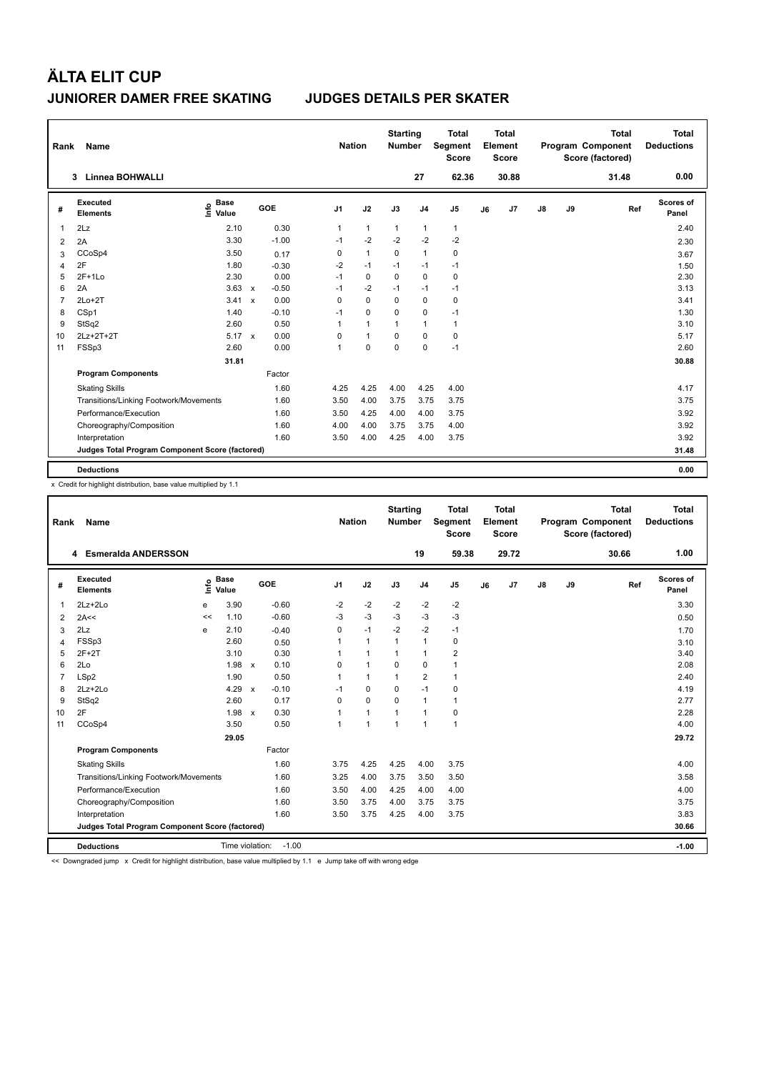| Rank           | Name                                            |                            |                           |         | <b>Nation</b>  |                | <b>Starting</b><br><b>Number</b> |                | <b>Total</b><br>Segment<br><b>Score</b> |    | <b>Total</b><br>Element<br><b>Score</b> |    |    | <b>Total</b><br>Program Component<br>Score (factored) | <b>Total</b><br><b>Deductions</b> |
|----------------|-------------------------------------------------|----------------------------|---------------------------|---------|----------------|----------------|----------------------------------|----------------|-----------------------------------------|----|-----------------------------------------|----|----|-------------------------------------------------------|-----------------------------------|
|                | Linnea BOHWALLI<br>3                            |                            |                           |         |                |                |                                  | 27             | 62.36                                   |    | 30.88                                   |    |    | 31.48                                                 | 0.00                              |
| #              | <b>Executed</b><br><b>Elements</b>              | <b>Base</b><br>۴ô<br>Value |                           | GOE     | J <sub>1</sub> | J2             | J3                               | J <sub>4</sub> | J <sub>5</sub>                          | J6 | J7                                      | J8 | J9 | Ref                                                   | <b>Scores of</b><br>Panel         |
| 1              | 2Lz                                             | 2.10                       |                           | 0.30    | 1              | $\mathbf{1}$   | $\mathbf{1}$                     | $\mathbf{1}$   | $\mathbf{1}$                            |    |                                         |    |    |                                                       | 2.40                              |
| 2              | 2A                                              | 3.30                       |                           | $-1.00$ | $-1$           | $-2$           | $-2$                             | $-2$           | $-2$                                    |    |                                         |    |    |                                                       | 2.30                              |
| 3              | CCoSp4                                          | 3.50                       |                           | 0.17    | 0              | $\mathbf{1}$   | $\mathbf 0$                      | $\mathbf{1}$   | $\mathbf 0$                             |    |                                         |    |    |                                                       | 3.67                              |
| 4              | 2F                                              | 1.80                       |                           | $-0.30$ | $-2$           | $-1$           | $-1$                             | $-1$           | $-1$                                    |    |                                         |    |    |                                                       | 1.50                              |
| 5              | $2F+1Lo$                                        | 2.30                       |                           | 0.00    | $-1$           | $\mathbf 0$    | 0                                | $\mathbf 0$    | $\mathbf 0$                             |    |                                         |    |    |                                                       | 2.30                              |
| 6              | 2A                                              | 3.63                       | $\boldsymbol{\mathsf{x}}$ | $-0.50$ | $-1$           | $-2$           | $-1$                             | -1             | $-1$                                    |    |                                         |    |    |                                                       | 3.13                              |
| $\overline{7}$ | $2Lo+2T$                                        | 3.41                       | $\mathbf{x}$              | 0.00    | 0              | $\mathbf 0$    | 0                                | $\mathbf 0$    | 0                                       |    |                                         |    |    |                                                       | 3.41                              |
| 8              | CSp1                                            | 1.40                       |                           | $-0.10$ | $-1$           | $\mathbf 0$    | $\Omega$                         | $\mathbf 0$    | $-1$                                    |    |                                         |    |    |                                                       | 1.30                              |
| 9              | StSq2                                           | 2.60                       |                           | 0.50    | 1              | $\mathbf{1}$   | $\mathbf{1}$                     | $\mathbf{1}$   | $\mathbf{1}$                            |    |                                         |    |    |                                                       | 3.10                              |
| 10             | 2Lz+2T+2T                                       | $5.17 \times$              |                           | 0.00    | 0              | $\overline{1}$ | $\Omega$                         | $\mathbf 0$    | 0                                       |    |                                         |    |    |                                                       | 5.17                              |
| 11             | FSSp3                                           | 2.60                       |                           | 0.00    | 1              | $\mathbf 0$    | $\Omega$                         | $\mathbf 0$    | $-1$                                    |    |                                         |    |    |                                                       | 2.60                              |
|                |                                                 | 31.81                      |                           |         |                |                |                                  |                |                                         |    |                                         |    |    |                                                       | 30.88                             |
|                | <b>Program Components</b>                       |                            |                           | Factor  |                |                |                                  |                |                                         |    |                                         |    |    |                                                       |                                   |
|                | <b>Skating Skills</b>                           |                            |                           | 1.60    | 4.25           | 4.25           | 4.00                             | 4.25           | 4.00                                    |    |                                         |    |    |                                                       | 4.17                              |
|                | Transitions/Linking Footwork/Movements          |                            |                           | 1.60    | 3.50           | 4.00           | 3.75                             | 3.75           | 3.75                                    |    |                                         |    |    |                                                       | 3.75                              |
|                | Performance/Execution                           |                            |                           | 1.60    | 3.50           | 4.25           | 4.00                             | 4.00           | 3.75                                    |    |                                         |    |    |                                                       | 3.92                              |
|                | Choreography/Composition                        |                            |                           | 1.60    | 4.00           | 4.00           | 3.75                             | 3.75           | 4.00                                    |    |                                         |    |    |                                                       | 3.92                              |
|                | Interpretation                                  |                            |                           | 1.60    | 3.50           | 4.00           | 4.25                             | 4.00           | 3.75                                    |    |                                         |    |    |                                                       | 3.92                              |
|                | Judges Total Program Component Score (factored) |                            |                           |         |                |                |                                  |                |                                         |    |                                         |    |    |                                                       | 31.48                             |
|                | <b>Deductions</b>                               |                            |                           |         |                |                |                                  |                |                                         |    |                                         |    |    |                                                       | 0.00                              |

x Credit for highlight distribution, base value multiplied by 1.1

| Rank           | Name                                            |    |                      |                           |         |                | <b>Nation</b> |              | <b>Starting</b><br><b>Number</b> |                | <b>Total</b><br>Segment<br><b>Score</b> |    | <b>Total</b><br>Element<br>Score |               |    | <b>Total</b><br>Program Component<br>Score (factored) |     | <b>Total</b><br><b>Deductions</b> |
|----------------|-------------------------------------------------|----|----------------------|---------------------------|---------|----------------|---------------|--------------|----------------------------------|----------------|-----------------------------------------|----|----------------------------------|---------------|----|-------------------------------------------------------|-----|-----------------------------------|
|                | <b>Esmeralda ANDERSSON</b><br>4                 |    |                      |                           |         |                |               |              |                                  | 19             | 59.38                                   |    | 29.72                            |               |    | 30.66                                                 |     | 1.00                              |
| #              | Executed<br><b>Elements</b>                     | ١m | <b>Base</b><br>Value |                           | GOE     | J <sub>1</sub> |               | J2           | J3                               | J <sub>4</sub> | J <sub>5</sub>                          | J6 | J <sub>7</sub>                   | $\mathsf{J}8$ | J9 |                                                       | Ref | Scores of<br>Panel                |
| 1              | 2Lz+2Lo                                         | e  | 3.90                 |                           | $-0.60$ | $-2$           |               | $-2$         | $-2$                             | $-2$           | $-2$                                    |    |                                  |               |    |                                                       |     | 3.30                              |
| $\overline{2}$ | 2A<<                                            | << | 1.10                 |                           | $-0.60$ | $-3$           |               | $-3$         | $-3$                             | $-3$           | $-3$                                    |    |                                  |               |    |                                                       |     | 0.50                              |
| 3              | 2Lz                                             | e  | 2.10                 |                           | $-0.40$ | 0              |               | $-1$         | $-2$                             | $-2$           | $-1$                                    |    |                                  |               |    |                                                       |     | 1.70                              |
| $\overline{4}$ | FSSp3                                           |    | 2.60                 |                           | 0.50    | 1              |               | $\mathbf{1}$ | $\mathbf{1}$                     | $\mathbf{1}$   | 0                                       |    |                                  |               |    |                                                       |     | 3.10                              |
| 5              | $2F+2T$                                         |    | 3.10                 |                           | 0.30    |                |               | 1            | 1                                | $\mathbf{1}$   | 2                                       |    |                                  |               |    |                                                       |     | 3.40                              |
| 6              | 2Lo                                             |    | 1.98                 | $\mathsf{x}$              | 0.10    | 0              |               | 1            | $\Omega$                         | $\Omega$       | $\mathbf{1}$                            |    |                                  |               |    |                                                       |     | 2.08                              |
| $\overline{7}$ | LSp2                                            |    | 1.90                 |                           | 0.50    | 1              |               | $\mathbf{1}$ | $\mathbf{1}$                     | $\overline{2}$ | $\mathbf{1}$                            |    |                                  |               |    |                                                       |     | 2.40                              |
| 8              | $2Lz + 2Lo$                                     |    | 4.29                 | $\boldsymbol{\mathsf{x}}$ | $-0.10$ | $-1$           |               | $\Omega$     | $\Omega$                         | $-1$           | 0                                       |    |                                  |               |    |                                                       |     | 4.19                              |
| 9              | StSq2                                           |    | 2.60                 |                           | 0.17    | $\Omega$       |               | 0            | $\Omega$                         | $\mathbf{1}$   | 1                                       |    |                                  |               |    |                                                       |     | 2.77                              |
| 10             | 2F                                              |    | 1.98 x               |                           | 0.30    |                |               | 1            | 1                                | $\mathbf{1}$   | 0                                       |    |                                  |               |    |                                                       |     | 2.28                              |
| 11             | CCoSp4                                          |    | 3.50                 |                           | 0.50    | 1              |               | $\mathbf{1}$ | $\overline{1}$                   | $\mathbf{1}$   | $\mathbf{1}$                            |    |                                  |               |    |                                                       |     | 4.00                              |
|                |                                                 |    | 29.05                |                           |         |                |               |              |                                  |                |                                         |    |                                  |               |    |                                                       |     | 29.72                             |
|                | <b>Program Components</b>                       |    |                      |                           | Factor  |                |               |              |                                  |                |                                         |    |                                  |               |    |                                                       |     |                                   |
|                | <b>Skating Skills</b>                           |    |                      |                           | 1.60    | 3.75           |               | 4.25         | 4.25                             | 4.00           | 3.75                                    |    |                                  |               |    |                                                       |     | 4.00                              |
|                | Transitions/Linking Footwork/Movements          |    |                      |                           | 1.60    | 3.25           |               | 4.00         | 3.75                             | 3.50           | 3.50                                    |    |                                  |               |    |                                                       |     | 3.58                              |
|                | Performance/Execution                           |    |                      |                           | 1.60    | 3.50           |               | 4.00         | 4.25                             | 4.00           | 4.00                                    |    |                                  |               |    |                                                       |     | 4.00                              |
|                | Choreography/Composition                        |    |                      |                           | 1.60    | 3.50           |               | 3.75         | 4.00                             | 3.75           | 3.75                                    |    |                                  |               |    |                                                       |     | 3.75                              |
|                | Interpretation                                  |    |                      |                           | 1.60    | 3.50           |               | 3.75         | 4.25                             | 4.00           | 3.75                                    |    |                                  |               |    |                                                       |     | 3.83                              |
|                | Judges Total Program Component Score (factored) |    |                      |                           |         |                |               |              |                                  |                |                                         |    |                                  |               |    |                                                       |     | 30.66                             |
|                | <b>Deductions</b>                               |    | Time violation:      |                           | $-1.00$ |                |               |              |                                  |                |                                         |    |                                  |               |    |                                                       |     | $-1.00$                           |

<< Downgraded jump x Credit for highlight distribution, base value multiplied by 1.1 e Jump take off with wrong edge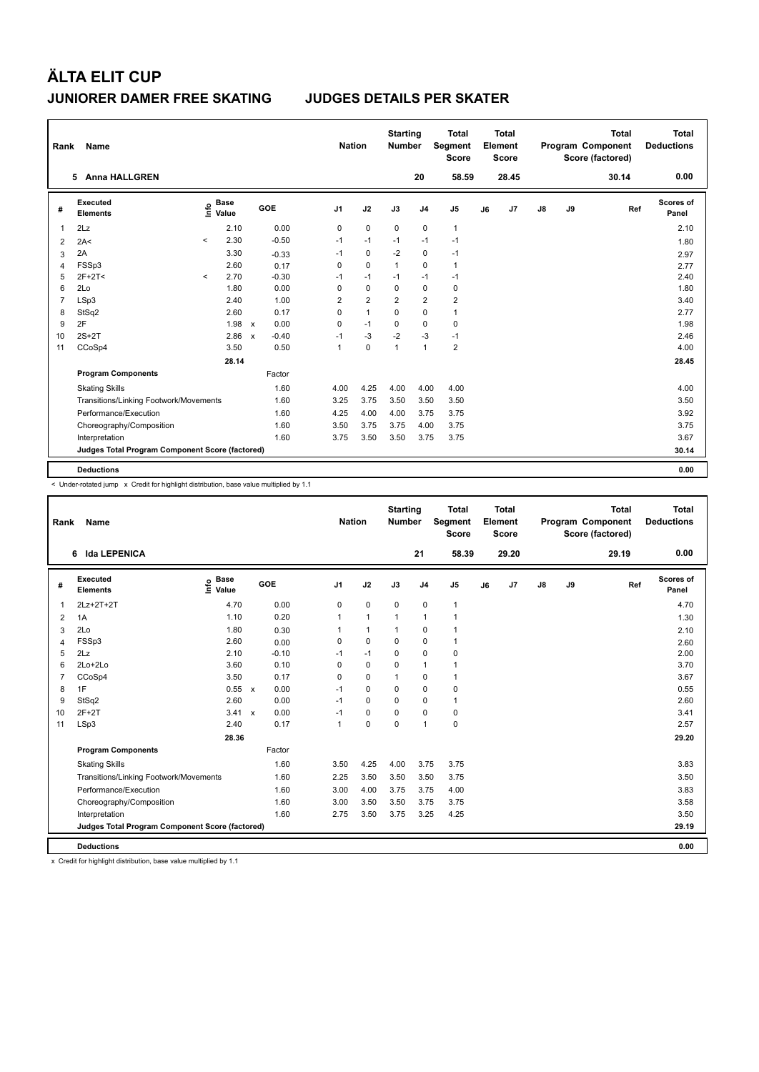| Rank           | Name                                            |         |                      | <b>Nation</b>             | <b>Starting</b><br><b>Number</b> |                | <b>Total</b><br>Segment<br><b>Score</b> |                | Total<br>Element<br><b>Score</b> |                         |    | <b>Total</b><br>Program Component<br>Score (factored) | <b>Total</b><br><b>Deductions</b> |    |       |                    |
|----------------|-------------------------------------------------|---------|----------------------|---------------------------|----------------------------------|----------------|-----------------------------------------|----------------|----------------------------------|-------------------------|----|-------------------------------------------------------|-----------------------------------|----|-------|--------------------|
|                | 5 Anna HALLGREN                                 |         |                      |                           |                                  |                |                                         |                | 20                               | 58.59                   |    | 28.45                                                 |                                   |    | 30.14 | 0.00               |
| #              | Executed<br><b>Elements</b>                     | lnfo    | <b>Base</b><br>Value |                           | GOE                              | J <sub>1</sub> | J2                                      | J3             | J <sub>4</sub>                   | J <sub>5</sub>          | J6 | J <sub>7</sub>                                        | $\mathsf{J}8$                     | J9 | Ref   | Scores of<br>Panel |
| 1              | 2Lz                                             |         | 2.10                 |                           | 0.00                             | $\mathbf 0$    | $\mathbf 0$                             | $\mathbf 0$    | $\mathbf 0$                      | $\mathbf{1}$            |    |                                                       |                                   |    |       | 2.10               |
| 2              | 2A<                                             | $\prec$ | 2.30                 |                           | $-0.50$                          | $-1$           | $-1$                                    | $-1$           | $-1$                             | $-1$                    |    |                                                       |                                   |    |       | 1.80               |
| 3              | 2A                                              |         | 3.30                 |                           | $-0.33$                          | $-1$           | 0                                       | $-2$           | $\mathbf 0$                      | $-1$                    |    |                                                       |                                   |    |       | 2.97               |
| 4              | FSSp3                                           |         | 2.60                 |                           | 0.17                             | $\Omega$       | $\Omega$                                | $\mathbf{1}$   | 0                                | $\mathbf{1}$            |    |                                                       |                                   |    |       | 2.77               |
| 5              | $2F+2T<$                                        | $\prec$ | 2.70                 |                           | $-0.30$                          | $-1$           | $-1$                                    | $-1$           | $-1$                             | $-1$                    |    |                                                       |                                   |    |       | 2.40               |
| 6              | 2Lo                                             |         | 1.80                 |                           | 0.00                             | 0              | $\mathbf 0$                             | $\mathbf 0$    | $\mathbf 0$                      | 0                       |    |                                                       |                                   |    |       | 1.80               |
| $\overline{7}$ | LSp3                                            |         | 2.40                 |                           | 1.00                             | 2              | $\overline{2}$                          | $\overline{2}$ | $\overline{2}$                   | $\overline{\mathbf{c}}$ |    |                                                       |                                   |    |       | 3.40               |
| 8              | StSq2                                           |         | 2.60                 |                           | 0.17                             | 0              | $\mathbf{1}$                            | $\Omega$       | $\mathbf 0$                      | $\mathbf{1}$            |    |                                                       |                                   |    |       | 2.77               |
| 9              | 2F                                              |         | 1.98                 | $\mathbf{x}$              | 0.00                             | 0              | $-1$                                    | $\Omega$       | $\mathbf 0$                      | $\mathbf 0$             |    |                                                       |                                   |    |       | 1.98               |
| 10             | $2S+2T$                                         |         | 2.86                 | $\boldsymbol{\mathsf{x}}$ | $-0.40$                          | $-1$           | -3                                      | $-2$           | $-3$                             | $-1$                    |    |                                                       |                                   |    |       | 2.46               |
| 11             | CCoSp4                                          |         | 3.50                 |                           | 0.50                             | $\mathbf{1}$   | $\mathbf 0$                             | $\mathbf{1}$   | $\mathbf{1}$                     | $\overline{2}$          |    |                                                       |                                   |    |       | 4.00               |
|                |                                                 |         | 28.14                |                           |                                  |                |                                         |                |                                  |                         |    |                                                       |                                   |    |       | 28.45              |
|                | <b>Program Components</b>                       |         |                      |                           | Factor                           |                |                                         |                |                                  |                         |    |                                                       |                                   |    |       |                    |
|                | <b>Skating Skills</b>                           |         |                      |                           | 1.60                             | 4.00           | 4.25                                    | 4.00           | 4.00                             | 4.00                    |    |                                                       |                                   |    |       | 4.00               |
|                | Transitions/Linking Footwork/Movements          |         |                      |                           | 1.60                             | 3.25           | 3.75                                    | 3.50           | 3.50                             | 3.50                    |    |                                                       |                                   |    |       | 3.50               |
|                | Performance/Execution                           |         |                      |                           | 1.60                             | 4.25           | 4.00                                    | 4.00           | 3.75                             | 3.75                    |    |                                                       |                                   |    |       | 3.92               |
|                | Choreography/Composition                        |         |                      |                           | 1.60                             | 3.50           | 3.75                                    | 3.75           | 4.00                             | 3.75                    |    |                                                       |                                   |    |       | 3.75               |
|                | Interpretation                                  |         |                      |                           | 1.60                             | 3.75           | 3.50                                    | 3.50           | 3.75                             | 3.75                    |    |                                                       |                                   |    |       | 3.67               |
|                | Judges Total Program Component Score (factored) |         |                      |                           |                                  |                |                                         |                |                                  |                         |    |                                                       |                                   |    |       | 30.14              |
|                | <b>Deductions</b>                               |         |                      |                           |                                  |                |                                         |                |                                  |                         |    |                                                       |                                   |    |       | 0.00               |

< Under-rotated jump x Credit for highlight distribution, base value multiplied by 1.1

| Rank           | Name                                            |                             |            | <b>Nation</b>  |              | <b>Starting</b><br><b>Number</b> |                | <b>Total</b><br>Segment<br><b>Score</b> |    | <b>Total</b><br>Element<br><b>Score</b> |               |    | <b>Total</b><br>Program Component<br>Score (factored) | <b>Total</b><br><b>Deductions</b> |
|----------------|-------------------------------------------------|-----------------------------|------------|----------------|--------------|----------------------------------|----------------|-----------------------------------------|----|-----------------------------------------|---------------|----|-------------------------------------------------------|-----------------------------------|
|                | 6 Ida LEPENICA                                  |                             |            |                |              |                                  | 21             | 58.39                                   |    | 29.20                                   |               |    | 29.19                                                 | 0.00                              |
| #              | Executed<br><b>Elements</b>                     | <b>Base</b><br>١m٥<br>Value | <b>GOE</b> | J <sub>1</sub> | J2           | J3                               | J <sub>4</sub> | J5                                      | J6 | J7                                      | $\mathsf{J}8$ | J9 | Ref                                                   | Scores of<br>Panel                |
| 1              | 2Lz+2T+2T                                       | 4.70                        | 0.00       | 0              | 0            | 0                                | 0              | $\mathbf{1}$                            |    |                                         |               |    |                                                       | 4.70                              |
| 2              | 1A                                              | 1.10                        | 0.20       |                | $\mathbf{1}$ | 1                                | $\mathbf{1}$   | 1                                       |    |                                         |               |    |                                                       | 1.30                              |
| 3              | 2Lo                                             | 1.80                        | 0.30       |                | $\mathbf{1}$ |                                  | 0              | 1                                       |    |                                         |               |    |                                                       | 2.10                              |
| 4              | FSSp3                                           | 2.60                        | 0.00       | 0              | $\mathbf 0$  | 0                                | 0              | 1                                       |    |                                         |               |    |                                                       | 2.60                              |
| 5              | 2Lz                                             | 2.10                        | $-0.10$    | $-1$           | $-1$         | $\Omega$                         | 0              | 0                                       |    |                                         |               |    |                                                       | 2.00                              |
| 6              | 2Lo+2Lo                                         | 3.60                        | 0.10       | 0              | $\mathbf 0$  | 0                                | $\mathbf{1}$   | 1                                       |    |                                         |               |    |                                                       | 3.70                              |
| $\overline{7}$ | CCoSp4                                          | 3.50                        | 0.17       | $\Omega$       | $\Omega$     |                                  | $\Omega$       | 1                                       |    |                                         |               |    |                                                       | 3.67                              |
| 8              | 1F                                              | 0.55 x                      | 0.00       | $-1$           | $\mathbf 0$  | 0                                | 0              | 0                                       |    |                                         |               |    |                                                       | 0.55                              |
| 9              | StSq2                                           | 2.60                        | 0.00       | $-1$           | $\mathbf 0$  | 0                                | 0              | 1                                       |    |                                         |               |    |                                                       | 2.60                              |
| 10             | $2F+2T$                                         | 3.41 x                      | 0.00       | $-1$           | 0            | $\Omega$                         | 0              | 0                                       |    |                                         |               |    |                                                       | 3.41                              |
| 11             | LSp3                                            | 2.40                        | 0.17       | 1              | $\mathbf 0$  | $\Omega$                         | $\mathbf{1}$   | 0                                       |    |                                         |               |    |                                                       | 2.57                              |
|                |                                                 | 28.36                       |            |                |              |                                  |                |                                         |    |                                         |               |    |                                                       | 29.20                             |
|                | <b>Program Components</b>                       |                             | Factor     |                |              |                                  |                |                                         |    |                                         |               |    |                                                       |                                   |
|                | <b>Skating Skills</b>                           |                             | 1.60       | 3.50           | 4.25         | 4.00                             | 3.75           | 3.75                                    |    |                                         |               |    |                                                       | 3.83                              |
|                | Transitions/Linking Footwork/Movements          |                             | 1.60       | 2.25           | 3.50         | 3.50                             | 3.50           | 3.75                                    |    |                                         |               |    |                                                       | 3.50                              |
|                | Performance/Execution                           |                             | 1.60       | 3.00           | 4.00         | 3.75                             | 3.75           | 4.00                                    |    |                                         |               |    |                                                       | 3.83                              |
|                | Choreography/Composition                        |                             | 1.60       | 3.00           | 3.50         | 3.50                             | 3.75           | 3.75                                    |    |                                         |               |    |                                                       | 3.58                              |
|                | Interpretation                                  |                             | 1.60       | 2.75           | 3.50         | 3.75                             | 3.25           | 4.25                                    |    |                                         |               |    |                                                       | 3.50                              |
|                | Judges Total Program Component Score (factored) |                             |            |                |              |                                  |                |                                         |    |                                         |               |    |                                                       | 29.19                             |
|                | <b>Deductions</b>                               |                             |            |                |              |                                  |                |                                         |    |                                         |               |    |                                                       | 0.00                              |

x Credit for highlight distribution, base value multiplied by 1.1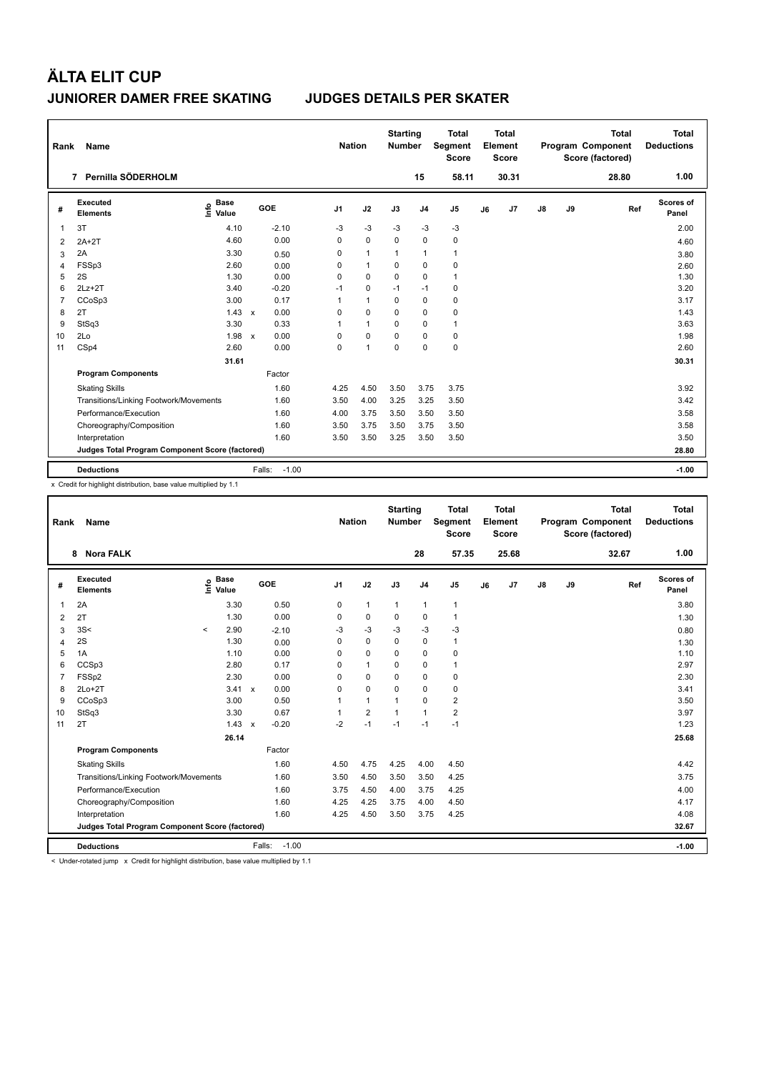| Rank           | Name                                            |                              |                      | <b>Nation</b>  |              | <b>Starting</b><br><b>Number</b> |                | <b>Total</b><br>Segment<br><b>Score</b> |    | Total<br>Element<br><b>Score</b> |               |    | <b>Total</b><br>Program Component<br>Score (factored) | Total<br><b>Deductions</b> |
|----------------|-------------------------------------------------|------------------------------|----------------------|----------------|--------------|----------------------------------|----------------|-----------------------------------------|----|----------------------------------|---------------|----|-------------------------------------------------------|----------------------------|
|                | Pernilla SÖDERHOLM<br>7                         |                              |                      |                |              |                                  | 15             | 58.11                                   |    | 30.31                            |               |    | 28.80                                                 | 1.00                       |
| #              | Executed<br><b>Elements</b>                     | <b>Base</b><br>lnfo<br>Value | GOE                  | J <sub>1</sub> | J2           | J3                               | J <sub>4</sub> | J <sub>5</sub>                          | J6 | J7                               | $\mathsf{J}8$ | J9 | Ref                                                   | Scores of<br>Panel         |
| 1              | 3T                                              | 4.10                         | $-2.10$              | -3             | $-3$         | -3                               | -3             | $-3$                                    |    |                                  |               |    |                                                       | 2.00                       |
| 2              | $2A+2T$                                         | 4.60                         | 0.00                 | 0              | $\mathbf 0$  | $\mathbf 0$                      | 0              | $\mathbf 0$                             |    |                                  |               |    |                                                       | 4.60                       |
| 3              | 2A                                              | 3.30                         | 0.50                 | 0              | $\mathbf{1}$ | 1                                | $\mathbf{1}$   | $\mathbf{1}$                            |    |                                  |               |    |                                                       | 3.80                       |
| $\overline{4}$ | FSSp3                                           | 2.60                         | 0.00                 | $\Omega$       | $\mathbf{1}$ | $\Omega$                         | 0              | 0                                       |    |                                  |               |    |                                                       | 2.60                       |
| 5              | 2S                                              | 1.30                         | 0.00                 | $\Omega$       | $\mathbf 0$  | $\mathbf 0$                      | 0              | $\mathbf{1}$                            |    |                                  |               |    |                                                       | 1.30                       |
| 6              | $2Lz+2T$                                        | 3.40                         | $-0.20$              | $-1$           | $\mathbf 0$  | $-1$                             | $-1$           | $\pmb{0}$                               |    |                                  |               |    |                                                       | 3.20                       |
| $\overline{7}$ | CCoSp3                                          | 3.00                         | 0.17                 | 1              | $\mathbf{1}$ | $\Omega$                         | $\mathbf 0$    | $\pmb{0}$                               |    |                                  |               |    |                                                       | 3.17                       |
| 8              | 2T                                              | 1.43                         | 0.00<br>$\mathbf{x}$ | $\Omega$       | $\Omega$     | $\Omega$                         | $\mathbf 0$    | $\mathbf 0$                             |    |                                  |               |    |                                                       | 1.43                       |
| 9              | StSq3                                           | 3.30                         | 0.33                 | 1              | $\mathbf{1}$ | $\mathbf 0$                      | $\mathbf 0$    | $\mathbf{1}$                            |    |                                  |               |    |                                                       | 3.63                       |
| 10             | 2Lo                                             | 1.98                         | 0.00<br>$\mathsf{x}$ | $\Omega$       | 0            | $\Omega$                         | 0              | $\mathbf 0$                             |    |                                  |               |    |                                                       | 1.98                       |
| 11             | CSp4                                            | 2.60                         | 0.00                 | $\mathbf 0$    | $\mathbf{1}$ | $\mathbf 0$                      | $\mathbf 0$    | $\mathbf 0$                             |    |                                  |               |    |                                                       | 2.60                       |
|                |                                                 | 31.61                        |                      |                |              |                                  |                |                                         |    |                                  |               |    |                                                       | 30.31                      |
|                | <b>Program Components</b>                       |                              | Factor               |                |              |                                  |                |                                         |    |                                  |               |    |                                                       |                            |
|                | <b>Skating Skills</b>                           |                              | 1.60                 | 4.25           | 4.50         | 3.50                             | 3.75           | 3.75                                    |    |                                  |               |    |                                                       | 3.92                       |
|                | Transitions/Linking Footwork/Movements          |                              | 1.60                 | 3.50           | 4.00         | 3.25                             | 3.25           | 3.50                                    |    |                                  |               |    |                                                       | 3.42                       |
|                | Performance/Execution                           |                              | 1.60                 | 4.00           | 3.75         | 3.50                             | 3.50           | 3.50                                    |    |                                  |               |    |                                                       | 3.58                       |
|                | Choreography/Composition                        |                              | 1.60                 | 3.50           | 3.75         | 3.50                             | 3.75           | 3.50                                    |    |                                  |               |    |                                                       | 3.58                       |
|                | Interpretation                                  |                              | 1.60                 | 3.50           | 3.50         | 3.25                             | 3.50           | 3.50                                    |    |                                  |               |    |                                                       | 3.50                       |
|                | Judges Total Program Component Score (factored) |                              |                      |                |              |                                  |                |                                         |    |                                  |               |    |                                                       | 28.80                      |
|                | <b>Deductions</b>                               |                              | $-1.00$<br>Falls:    |                |              |                                  |                |                                         |    |                                  |               |    |                                                       | $-1.00$                    |

x Credit for highlight distribution, base value multiplied by 1.1

| Rank           | <b>Name</b>                                     |         |                                       |              |                   | <b>Nation</b>  |                | <b>Starting</b><br><b>Number</b> |                | <b>Total</b><br>Segment<br><b>Score</b> |    | <b>Total</b><br>Element<br><b>Score</b> |               |    | <b>Total</b><br>Program Component<br>Score (factored) |     | <b>Total</b><br><b>Deductions</b> |
|----------------|-------------------------------------------------|---------|---------------------------------------|--------------|-------------------|----------------|----------------|----------------------------------|----------------|-----------------------------------------|----|-----------------------------------------|---------------|----|-------------------------------------------------------|-----|-----------------------------------|
|                | <b>Nora FALK</b><br>8                           |         |                                       |              |                   |                |                |                                  | 28             | 57.35                                   |    | 25.68                                   |               |    | 32.67                                                 |     | 1.00                              |
| #              | <b>Executed</b><br><b>Elements</b>              |         | <b>Base</b><br>$\sum_{i=1}^{6}$ Value |              | GOE               | J <sub>1</sub> | J2             | J3                               | J <sub>4</sub> | J <sub>5</sub>                          | J6 | J <sub>7</sub>                          | $\mathsf{J}8$ | J9 |                                                       | Ref | Scores of<br>Panel                |
| $\overline{1}$ | 2A                                              |         | 3.30                                  |              | 0.50              | 0              | $\mathbf{1}$   | $\mathbf{1}$                     | $\mathbf{1}$   | $\mathbf{1}$                            |    |                                         |               |    |                                                       |     | 3.80                              |
| 2              | 2T                                              |         | 1.30                                  |              | 0.00              | 0              | $\mathbf 0$    | $\mathbf 0$                      | $\mathbf 0$    | 1                                       |    |                                         |               |    |                                                       |     | 1.30                              |
| 3              | 3S<                                             | $\prec$ | 2.90                                  |              | $-2.10$           | -3             | $-3$           | $-3$                             | $-3$           | $-3$                                    |    |                                         |               |    |                                                       |     | 0.80                              |
| $\overline{4}$ | 2S                                              |         | 1.30                                  |              | 0.00              | 0              | $\pmb{0}$      | $\mathbf 0$                      | $\pmb{0}$      | 1                                       |    |                                         |               |    |                                                       |     | 1.30                              |
| 5              | 1A                                              |         | 1.10                                  |              | 0.00              | $\Omega$       | $\mathbf 0$    | $\Omega$                         | $\mathbf 0$    | 0                                       |    |                                         |               |    |                                                       |     | 1.10                              |
| 6              | CCSp3                                           |         | 2.80                                  |              | 0.17              | $\Omega$       | $\mathbf{1}$   | $\mathbf 0$                      | $\pmb{0}$      | 1                                       |    |                                         |               |    |                                                       |     | 2.97                              |
| $\overline{7}$ | FSSp2                                           |         | 2.30                                  |              | 0.00              | $\Omega$       | $\mathbf 0$    | $\Omega$                         | $\mathbf 0$    | 0                                       |    |                                         |               |    |                                                       |     | 2.30                              |
| 8              | $2Lo+2T$                                        |         | 3.41                                  | $\mathsf{x}$ | 0.00              | $\mathbf 0$    | $\mathbf 0$    | $\mathbf 0$                      | $\mathbf 0$    | 0                                       |    |                                         |               |    |                                                       |     | 3.41                              |
| 9              | CCoSp3                                          |         | 3.00                                  |              | 0.50              | 1              | $\mathbf{1}$   | 1                                | $\mathbf 0$    | 2                                       |    |                                         |               |    |                                                       |     | 3.50                              |
| 10             | StSq3                                           |         | 3.30                                  |              | 0.67              |                | $\overline{2}$ | $\mathbf{1}$                     | $\mathbf{1}$   | $\overline{2}$                          |    |                                         |               |    |                                                       |     | 3.97                              |
| 11             | 2T                                              |         | $1.43 \times$                         |              | $-0.20$           | $-2$           | $-1$           | $-1$                             | $-1$           | $-1$                                    |    |                                         |               |    |                                                       |     | 1.23                              |
|                |                                                 |         | 26.14                                 |              |                   |                |                |                                  |                |                                         |    |                                         |               |    |                                                       |     | 25.68                             |
|                | <b>Program Components</b>                       |         |                                       |              | Factor            |                |                |                                  |                |                                         |    |                                         |               |    |                                                       |     |                                   |
|                | <b>Skating Skills</b>                           |         |                                       |              | 1.60              | 4.50           | 4.75           | 4.25                             | 4.00           | 4.50                                    |    |                                         |               |    |                                                       |     | 4.42                              |
|                | Transitions/Linking Footwork/Movements          |         |                                       |              | 1.60              | 3.50           | 4.50           | 3.50                             | 3.50           | 4.25                                    |    |                                         |               |    |                                                       |     | 3.75                              |
|                | Performance/Execution                           |         |                                       |              | 1.60              | 3.75           | 4.50           | 4.00                             | 3.75           | 4.25                                    |    |                                         |               |    |                                                       |     | 4.00                              |
|                | Choreography/Composition                        |         |                                       |              | 1.60              | 4.25           | 4.25           | 3.75                             | 4.00           | 4.50                                    |    |                                         |               |    |                                                       |     | 4.17                              |
|                | Interpretation                                  |         |                                       |              | 1.60              | 4.25           | 4.50           | 3.50                             | 3.75           | 4.25                                    |    |                                         |               |    |                                                       |     | 4.08                              |
|                | Judges Total Program Component Score (factored) |         |                                       |              |                   |                |                |                                  |                |                                         |    |                                         |               |    |                                                       |     | 32.67                             |
|                | <b>Deductions</b>                               |         |                                       |              | $-1.00$<br>Falls: |                |                |                                  |                |                                         |    |                                         |               |    |                                                       |     | $-1.00$                           |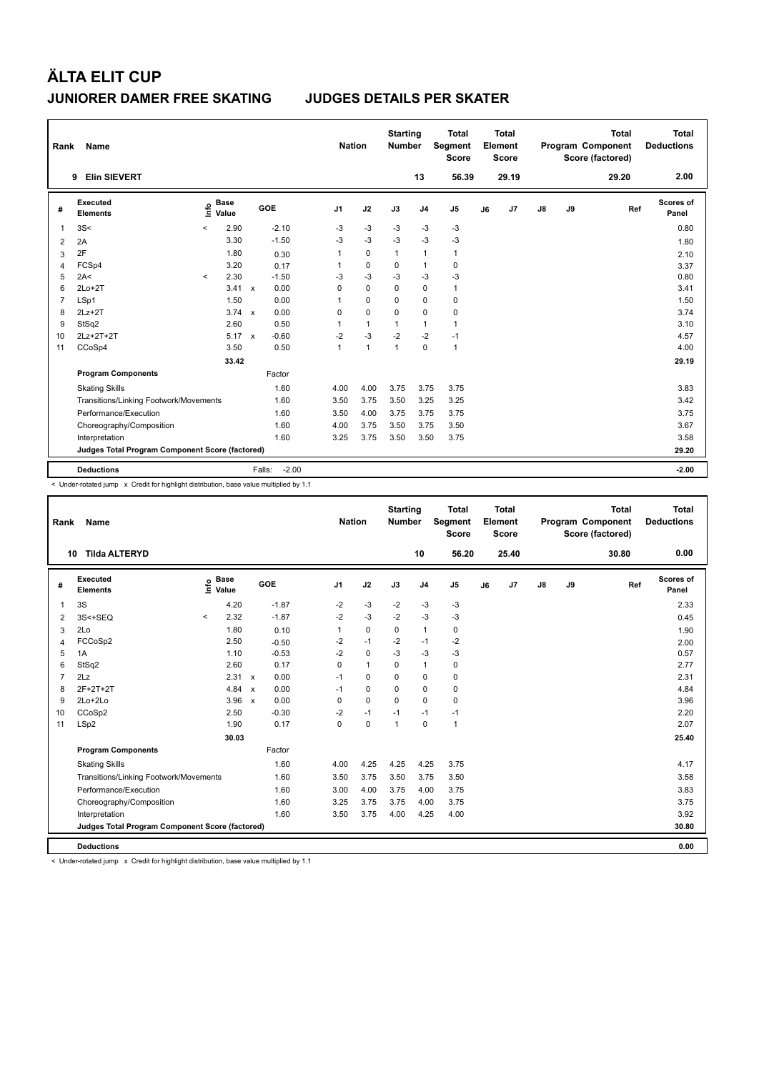| Rank           | Name                                            |         |                      |              |                   |                | <b>Nation</b> | <b>Starting</b><br><b>Number</b> |                | <b>Total</b><br>Segment<br><b>Score</b> |    | Total<br>Element<br><b>Score</b> |               |    | <b>Total</b><br>Program Component<br>Score (factored) | Total<br><b>Deductions</b> |
|----------------|-------------------------------------------------|---------|----------------------|--------------|-------------------|----------------|---------------|----------------------------------|----------------|-----------------------------------------|----|----------------------------------|---------------|----|-------------------------------------------------------|----------------------------|
|                | <b>Elin SIEVERT</b><br>9                        |         |                      |              |                   |                |               |                                  | 13             | 56.39                                   |    | 29.19                            |               |    | 29.20                                                 | 2.00                       |
| #              | Executed<br><b>Elements</b>                     | ١nfo    | <b>Base</b><br>Value |              | GOE               | J <sub>1</sub> | J2            | J3                               | J <sub>4</sub> | J5                                      | J6 | J7                               | $\mathsf{J}8$ | J9 | Ref                                                   | <b>Scores of</b><br>Panel  |
| 1              | 3S<                                             | $\prec$ | 2.90                 |              | $-2.10$           | $-3$           | $-3$          | $-3$                             | $-3$           | $-3$                                    |    |                                  |               |    |                                                       | 0.80                       |
| $\overline{2}$ | 2A                                              |         | 3.30                 |              | $-1.50$           | $-3$           | $-3$          | $-3$                             | $-3$           | $-3$                                    |    |                                  |               |    |                                                       | 1.80                       |
| 3              | 2F                                              |         | 1.80                 |              | 0.30              | 1              | $\mathbf 0$   | $\mathbf{1}$                     | $\mathbf{1}$   | $\mathbf{1}$                            |    |                                  |               |    |                                                       | 2.10                       |
| 4              | FCSp4                                           |         | 3.20                 |              | 0.17              | 1              | $\mathbf 0$   | 0                                | $\overline{1}$ | $\mathbf 0$                             |    |                                  |               |    |                                                       | 3.37                       |
| 5              | 2A<                                             | $\prec$ | 2.30                 |              | $-1.50$           | $-3$           | $-3$          | $-3$                             | $-3$           | $-3$                                    |    |                                  |               |    |                                                       | 0.80                       |
| 6              | $2Lo+2T$                                        |         | 3.41                 | $\mathbf{x}$ | 0.00              | 0              | $\Omega$      | $\Omega$                         | $\Omega$       | $\mathbf{1}$                            |    |                                  |               |    |                                                       | 3.41                       |
| $\overline{7}$ | LSp1                                            |         | 1.50                 |              | 0.00              | 1              | $\mathbf 0$   | $\Omega$                         | $\mathbf 0$    | $\pmb{0}$                               |    |                                  |               |    |                                                       | 1.50                       |
| 8              | $2Lz + 2T$                                      |         | 3.74                 | $\mathbf{x}$ | 0.00              | 0              | $\mathbf 0$   | $\Omega$                         | $\Omega$       | 0                                       |    |                                  |               |    |                                                       | 3.74                       |
| 9              | StSq2                                           |         | 2.60                 |              | 0.50              | 1              | $\mathbf{1}$  | 1                                | $\mathbf{1}$   | $\mathbf{1}$                            |    |                                  |               |    |                                                       | 3.10                       |
| 10             | 2Lz+2T+2T                                       |         | 5.17                 | $\mathsf{x}$ | $-0.60$           | $-2$           | $-3$          | $-2$                             | $-2$           | $-1$                                    |    |                                  |               |    |                                                       | 4.57                       |
| 11             | CCoSp4                                          |         | 3.50                 |              | 0.50              | $\mathbf{1}$   | $\mathbf{1}$  | $\overline{1}$                   | $\mathbf 0$    | $\mathbf{1}$                            |    |                                  |               |    |                                                       | 4.00                       |
|                |                                                 |         | 33.42                |              |                   |                |               |                                  |                |                                         |    |                                  |               |    |                                                       | 29.19                      |
|                | <b>Program Components</b>                       |         |                      |              | Factor            |                |               |                                  |                |                                         |    |                                  |               |    |                                                       |                            |
|                | <b>Skating Skills</b>                           |         |                      |              | 1.60              | 4.00           | 4.00          | 3.75                             | 3.75           | 3.75                                    |    |                                  |               |    |                                                       | 3.83                       |
|                | Transitions/Linking Footwork/Movements          |         |                      |              | 1.60              | 3.50           | 3.75          | 3.50                             | 3.25           | 3.25                                    |    |                                  |               |    |                                                       | 3.42                       |
|                | Performance/Execution                           |         |                      |              | 1.60              | 3.50           | 4.00          | 3.75                             | 3.75           | 3.75                                    |    |                                  |               |    |                                                       | 3.75                       |
|                | Choreography/Composition                        |         |                      |              | 1.60              | 4.00           | 3.75          | 3.50                             | 3.75           | 3.50                                    |    |                                  |               |    |                                                       | 3.67                       |
|                | Interpretation                                  |         |                      |              | 1.60              | 3.25           | 3.75          | 3.50                             | 3.50           | 3.75                                    |    |                                  |               |    |                                                       | 3.58                       |
|                | Judges Total Program Component Score (factored) |         |                      |              |                   |                |               |                                  |                |                                         |    |                                  |               |    |                                                       | 29.20                      |
|                | <b>Deductions</b>                               |         |                      |              | $-2.00$<br>Falls: |                |               |                                  |                |                                         |    |                                  |               |    |                                                       | $-2.00$                    |

< Under-rotated jump x Credit for highlight distribution, base value multiplied by 1.1

| Rank | <b>Name</b>                                     |         |                      |                           |         |                | <b>Nation</b> |              | <b>Starting</b><br><b>Number</b> |                | <b>Total</b><br>Segment<br><b>Score</b> |    | <b>Total</b><br>Element<br><b>Score</b> |               |    | <b>Total</b><br>Program Component<br>Score (factored) |     | <b>Total</b><br><b>Deductions</b> |
|------|-------------------------------------------------|---------|----------------------|---------------------------|---------|----------------|---------------|--------------|----------------------------------|----------------|-----------------------------------------|----|-----------------------------------------|---------------|----|-------------------------------------------------------|-----|-----------------------------------|
|      | <b>Tilda ALTERYD</b><br>10                      |         |                      |                           |         |                |               |              |                                  | 10             | 56.20                                   |    | 25.40                                   |               |    | 30.80                                                 |     | 0.00                              |
| #    | <b>Executed</b><br><b>Elements</b>              | lnfo    | <b>Base</b><br>Value |                           | GOE     | J <sub>1</sub> |               | J2           | J3                               | J <sub>4</sub> | J5                                      | J6 | J <sub>7</sub>                          | $\mathsf{J}8$ | J9 |                                                       | Ref | Scores of<br>Panel                |
| 1    | 3S                                              |         | 4.20                 |                           | $-1.87$ | $-2$           |               | $-3$         | $-2$                             | $-3$           | $-3$                                    |    |                                         |               |    |                                                       |     | 2.33                              |
| 2    | 3S<+SEQ                                         | $\prec$ | 2.32                 |                           | $-1.87$ | $-2$           |               | $-3$         | $-2$                             | $-3$           | $-3$                                    |    |                                         |               |    |                                                       |     | 0.45                              |
| 3    | 2Lo                                             |         | 1.80                 |                           | 0.10    | 1              |               | 0            | 0                                | $\mathbf{1}$   | 0                                       |    |                                         |               |    |                                                       |     | 1.90                              |
| 4    | FCCoSp2                                         |         | 2.50                 |                           | $-0.50$ | $-2$           |               | $-1$         | $-2$                             | $-1$           | $-2$                                    |    |                                         |               |    |                                                       |     | 2.00                              |
| 5    | 1A                                              |         | 1.10                 |                           | $-0.53$ | $-2$           |               | $\mathbf 0$  | $-3$                             | $-3$           | $-3$                                    |    |                                         |               |    |                                                       |     | 0.57                              |
| 6    | StSq2                                           |         | 2.60                 |                           | 0.17    | $\Omega$       |               | $\mathbf{1}$ | 0                                | 1              | 0                                       |    |                                         |               |    |                                                       |     | 2.77                              |
| 7    | 2Lz                                             |         | 2.31 x               |                           | 0.00    | $-1$           |               | $\mathbf 0$  | $\Omega$                         | 0              | 0                                       |    |                                         |               |    |                                                       |     | 2.31                              |
| 8    | 2F+2T+2T                                        |         | 4.84                 | $\boldsymbol{\mathsf{x}}$ | 0.00    | $-1$           |               | 0            | $\mathbf 0$                      | $\mathbf 0$    | 0                                       |    |                                         |               |    |                                                       |     | 4.84                              |
| 9    | $2Lo+2Lo$                                       |         | 3.96                 | $\mathsf{x}$              | 0.00    | 0              |               | $\mathbf 0$  | $\Omega$                         | $\mathbf 0$    | 0                                       |    |                                         |               |    |                                                       |     | 3.96                              |
| 10   | CCoSp2                                          |         | 2.50                 |                           | $-0.30$ | $-2$           |               | $-1$         | $-1$                             | $-1$           | $-1$                                    |    |                                         |               |    |                                                       |     | 2.20                              |
| 11   | LSp2                                            |         | 1.90                 |                           | 0.17    | 0              |               | $\mathbf 0$  | $\mathbf{1}$                     | $\mathbf 0$    | $\mathbf{1}$                            |    |                                         |               |    |                                                       |     | 2.07                              |
|      |                                                 |         | 30.03                |                           |         |                |               |              |                                  |                |                                         |    |                                         |               |    |                                                       |     | 25.40                             |
|      | <b>Program Components</b>                       |         |                      |                           | Factor  |                |               |              |                                  |                |                                         |    |                                         |               |    |                                                       |     |                                   |
|      | <b>Skating Skills</b>                           |         |                      |                           | 1.60    | 4.00           |               | 4.25         | 4.25                             | 4.25           | 3.75                                    |    |                                         |               |    |                                                       |     | 4.17                              |
|      | Transitions/Linking Footwork/Movements          |         |                      |                           | 1.60    | 3.50           |               | 3.75         | 3.50                             | 3.75           | 3.50                                    |    |                                         |               |    |                                                       |     | 3.58                              |
|      | Performance/Execution                           |         |                      |                           | 1.60    | 3.00           |               | 4.00         | 3.75                             | 4.00           | 3.75                                    |    |                                         |               |    |                                                       |     | 3.83                              |
|      | Choreography/Composition                        |         |                      |                           | 1.60    | 3.25           |               | 3.75         | 3.75                             | 4.00           | 3.75                                    |    |                                         |               |    |                                                       |     | 3.75                              |
|      | Interpretation                                  |         |                      |                           | 1.60    | 3.50           |               | 3.75         | 4.00                             | 4.25           | 4.00                                    |    |                                         |               |    |                                                       |     | 3.92                              |
|      | Judges Total Program Component Score (factored) |         |                      |                           |         |                |               |              |                                  |                |                                         |    |                                         |               |    |                                                       |     | 30.80                             |
|      | <b>Deductions</b>                               |         |                      |                           |         |                |               |              |                                  |                |                                         |    |                                         |               |    |                                                       |     | 0.00                              |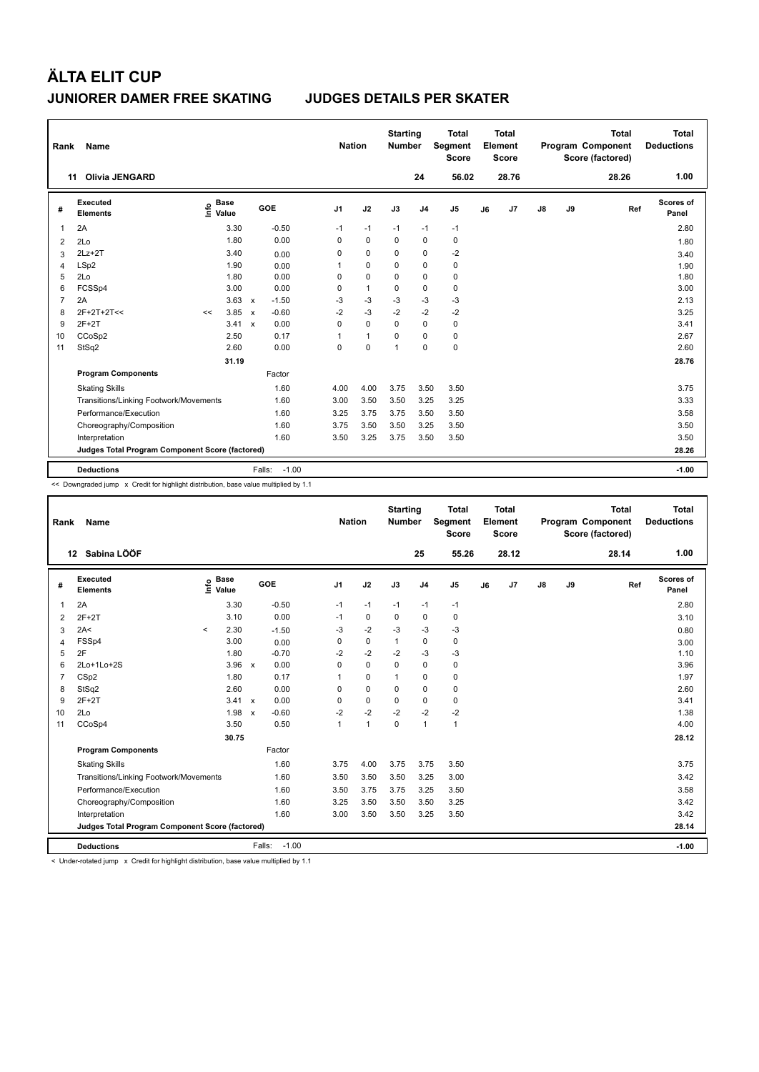| Rank           | Name                                            |                              |       |                         | <b>Nation</b>  |              | <b>Starting</b><br><b>Number</b> |                | <b>Total</b><br>Segment<br><b>Score</b> |    | Total<br>Element<br><b>Score</b> |               |    | <b>Total</b><br>Program Component<br>Score (factored) | Total<br><b>Deductions</b> |
|----------------|-------------------------------------------------|------------------------------|-------|-------------------------|----------------|--------------|----------------------------------|----------------|-----------------------------------------|----|----------------------------------|---------------|----|-------------------------------------------------------|----------------------------|
| 11             | <b>Olivia JENGARD</b>                           |                              |       |                         |                |              |                                  | 24             | 56.02                                   |    | 28.76                            |               |    | 28.26                                                 | 1.00                       |
| #              | Executed<br><b>Elements</b>                     | <b>Base</b><br>١nfo<br>Value |       | GOE                     | J <sub>1</sub> | J2           | J3                               | J <sub>4</sub> | J <sub>5</sub>                          | J6 | J7                               | $\mathsf{J}8$ | J9 | Ref                                                   | <b>Scores of</b><br>Panel  |
| 1              | 2A                                              |                              | 3.30  | $-0.50$                 | $-1$           | $-1$         | $-1$                             | $-1$           | $-1$                                    |    |                                  |               |    |                                                       | 2.80                       |
| $\overline{2}$ | 2Lo                                             |                              | 1.80  | 0.00                    | 0              | $\mathbf 0$  | $\Omega$                         | 0              | 0                                       |    |                                  |               |    |                                                       | 1.80                       |
| 3              | $2Lz+2T$                                        |                              | 3.40  | 0.00                    | 0              | $\mathbf 0$  | 0                                | $\mathbf 0$    | $-2$                                    |    |                                  |               |    |                                                       | 3.40                       |
| 4              | LSp2                                            |                              | 1.90  | 0.00                    | 1              | $\mathbf 0$  | 0                                | $\mathbf 0$    | $\pmb{0}$                               |    |                                  |               |    |                                                       | 1.90                       |
| 5              | 2Lo                                             |                              | 1.80  | 0.00                    | 0              | $\mathbf 0$  | $\Omega$                         | $\mathbf 0$    | $\pmb{0}$                               |    |                                  |               |    |                                                       | 1.80                       |
| 6              | FCSSp4                                          |                              | 3.00  | 0.00                    | 0              | $\mathbf{1}$ | 0                                | $\Omega$       | $\pmb{0}$                               |    |                                  |               |    |                                                       | 3.00                       |
| $\overline{7}$ | 2A                                              |                              | 3.63  | $-1.50$<br>$\mathbf{x}$ | $-3$           | $-3$         | $-3$                             | $-3$           | $-3$                                    |    |                                  |               |    |                                                       | 2.13                       |
| 8              | 2F+2T+2T<<                                      | <<                           | 3.85  | $-0.60$<br>$\mathsf{x}$ | $-2$           | $-3$         | $-2$                             | $-2$           | $-2$                                    |    |                                  |               |    |                                                       | 3.25                       |
| 9              | $2F+2T$                                         |                              | 3.41  | 0.00<br>$\mathbf{x}$    | 0              | $\Omega$     | $\Omega$                         | $\mathbf 0$    | $\pmb{0}$                               |    |                                  |               |    |                                                       | 3.41                       |
| 10             | CCoSp2                                          |                              | 2.50  | 0.17                    | 1              | $\mathbf{1}$ | 0                                | $\Omega$       | $\mathbf 0$                             |    |                                  |               |    |                                                       | 2.67                       |
| 11             | StSq2                                           |                              | 2.60  | 0.00                    | 0              | $\mathbf 0$  | 1                                | $\mathbf 0$    | $\pmb{0}$                               |    |                                  |               |    |                                                       | 2.60                       |
|                |                                                 |                              | 31.19 |                         |                |              |                                  |                |                                         |    |                                  |               |    |                                                       | 28.76                      |
|                | <b>Program Components</b>                       |                              |       | Factor                  |                |              |                                  |                |                                         |    |                                  |               |    |                                                       |                            |
|                | <b>Skating Skills</b>                           |                              |       | 1.60                    | 4.00           | 4.00         | 3.75                             | 3.50           | 3.50                                    |    |                                  |               |    |                                                       | 3.75                       |
|                | Transitions/Linking Footwork/Movements          |                              |       | 1.60                    | 3.00           | 3.50         | 3.50                             | 3.25           | 3.25                                    |    |                                  |               |    |                                                       | 3.33                       |
|                | Performance/Execution                           |                              |       | 1.60                    | 3.25           | 3.75         | 3.75                             | 3.50           | 3.50                                    |    |                                  |               |    |                                                       | 3.58                       |
|                | Choreography/Composition                        |                              |       | 1.60                    | 3.75           | 3.50         | 3.50                             | 3.25           | 3.50                                    |    |                                  |               |    |                                                       | 3.50                       |
|                | Interpretation                                  |                              |       | 1.60                    | 3.50           | 3.25         | 3.75                             | 3.50           | 3.50                                    |    |                                  |               |    |                                                       | 3.50                       |
|                | Judges Total Program Component Score (factored) |                              |       |                         |                |              |                                  |                |                                         |    |                                  |               |    |                                                       | 28.26                      |
|                | <b>Deductions</b>                               |                              |       | $-1.00$<br>Falls:       |                |              |                                  |                |                                         |    |                                  |               |    |                                                       | $-1.00$                    |

<< Downgraded jump x Credit for highlight distribution, base value multiplied by 1.1

| Rank           | Name                                            |         |                      |              |                   |                | <b>Nation</b> |              | <b>Starting</b><br><b>Number</b> |                | <b>Total</b><br>Segment<br><b>Score</b> |    | Total<br>Element<br><b>Score</b> |               |    | <b>Total</b><br>Program Component<br>Score (factored) |     | Total<br><b>Deductions</b> |
|----------------|-------------------------------------------------|---------|----------------------|--------------|-------------------|----------------|---------------|--------------|----------------------------------|----------------|-----------------------------------------|----|----------------------------------|---------------|----|-------------------------------------------------------|-----|----------------------------|
|                | 12 Sabina LÖÖF                                  |         |                      |              |                   |                |               |              | 25                               |                | 55.26                                   |    | 28.12                            |               |    | 28.14                                                 |     | 1.00                       |
| #              | Executed<br><b>Elements</b>                     | ١π۴ο    | <b>Base</b><br>Value |              | GOE               | J <sub>1</sub> | J2            | J3           |                                  | J <sub>4</sub> | J <sub>5</sub>                          | J6 | J <sub>7</sub>                   | $\mathsf{J}8$ | J9 |                                                       | Ref | Scores of<br>Panel         |
| 1              | 2A                                              |         | 3.30                 |              | $-0.50$           | $-1$           | $-1$          | $-1$         |                                  | $-1$           | $-1$                                    |    |                                  |               |    |                                                       |     | 2.80                       |
| 2              | $2F+2T$                                         |         | 3.10                 |              | 0.00              | $-1$           | $\mathbf 0$   | 0            |                                  | $\mathbf 0$    | $\mathbf 0$                             |    |                                  |               |    |                                                       |     | 3.10                       |
| 3              | 2A<                                             | $\,<\,$ | 2.30                 |              | $-1.50$           | $-3$           | $-2$          | $-3$         |                                  | $-3$           | $-3$                                    |    |                                  |               |    |                                                       |     | 0.80                       |
| 4              | FSSp4                                           |         | 3.00                 |              | 0.00              | 0              | $\mathbf 0$   | $\mathbf{1}$ |                                  | $\mathbf 0$    | $\mathbf 0$                             |    |                                  |               |    |                                                       |     | 3.00                       |
| 5              | 2F                                              |         | 1.80                 |              | $-0.70$           | $-2$           | $-2$          | $-2$         |                                  | $-3$           | $-3$                                    |    |                                  |               |    |                                                       |     | 1.10                       |
| 6              | 2Lo+1Lo+2S                                      |         | $3.96 \times$        |              | 0.00              | $\Omega$       | $\mathbf 0$   | $\Omega$     |                                  | $\Omega$       | 0                                       |    |                                  |               |    |                                                       |     | 3.96                       |
| $\overline{7}$ | CSp2                                            |         | 1.80                 |              | 0.17              | 1              | $\mathbf 0$   | $\mathbf{1}$ |                                  | 0              | $\mathbf 0$                             |    |                                  |               |    |                                                       |     | 1.97                       |
| 8              | StSq2                                           |         | 2.60                 |              | 0.00              | $\Omega$       | $\mathbf 0$   | $\Omega$     |                                  | $\mathbf 0$    | $\mathbf 0$                             |    |                                  |               |    |                                                       |     | 2.60                       |
| 9              | $2F+2T$                                         |         | 3.41                 | $\mathsf{x}$ | 0.00              | 0              | $\mathbf 0$   | $\mathbf 0$  |                                  | $\mathbf 0$    | $\mathbf 0$                             |    |                                  |               |    |                                                       |     | 3.41                       |
| 10             | 2Lo                                             |         | 1.98                 | $\mathsf{x}$ | $-0.60$           | $-2$           | $-2$          | $-2$         |                                  | $-2$           | $-2$                                    |    |                                  |               |    |                                                       |     | 1.38                       |
| 11             | CCoSp4                                          |         | 3.50                 |              | 0.50              | $\mathbf{1}$   | $\mathbf{1}$  | $\mathbf 0$  |                                  | $\mathbf{1}$   | $\mathbf{1}$                            |    |                                  |               |    |                                                       |     | 4.00                       |
|                |                                                 |         | 30.75                |              |                   |                |               |              |                                  |                |                                         |    |                                  |               |    |                                                       |     | 28.12                      |
|                | <b>Program Components</b>                       |         |                      |              | Factor            |                |               |              |                                  |                |                                         |    |                                  |               |    |                                                       |     |                            |
|                | <b>Skating Skills</b>                           |         |                      |              | 1.60              | 3.75           | 4.00          | 3.75         |                                  | 3.75           | 3.50                                    |    |                                  |               |    |                                                       |     | 3.75                       |
|                | Transitions/Linking Footwork/Movements          |         |                      |              | 1.60              | 3.50           | 3.50          | 3.50         |                                  | 3.25           | 3.00                                    |    |                                  |               |    |                                                       |     | 3.42                       |
|                | Performance/Execution                           |         |                      |              | 1.60              | 3.50           | 3.75          | 3.75         |                                  | 3.25           | 3.50                                    |    |                                  |               |    |                                                       |     | 3.58                       |
|                | Choreography/Composition                        |         |                      |              | 1.60              | 3.25           | 3.50          | 3.50         |                                  | 3.50           | 3.25                                    |    |                                  |               |    |                                                       |     | 3.42                       |
|                | Interpretation                                  |         |                      |              | 1.60              | 3.00           | 3.50          | 3.50         |                                  | 3.25           | 3.50                                    |    |                                  |               |    |                                                       |     | 3.42                       |
|                | Judges Total Program Component Score (factored) |         |                      |              |                   |                |               |              |                                  |                |                                         |    |                                  |               |    |                                                       |     | 28.14                      |
|                | <b>Deductions</b>                               |         |                      |              | $-1.00$<br>Falls: |                |               |              |                                  |                |                                         |    |                                  |               |    |                                                       |     | $-1.00$                    |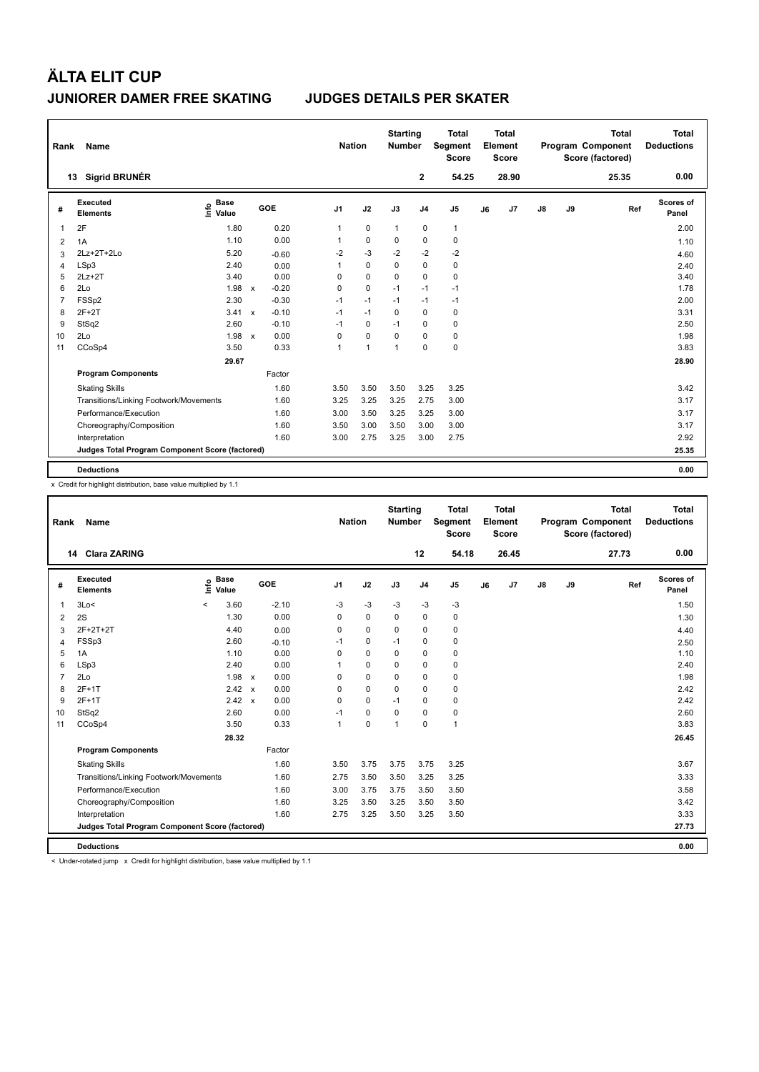| Rank           | Name                                            |                              |              |         |                | <b>Nation</b> |                | <b>Starting</b><br><b>Number</b> |                | Total<br>Segment<br><b>Score</b> |    | Total<br>Element<br><b>Score</b> |               |    | <b>Total</b><br>Program Component<br>Score (factored) | <b>Total</b><br><b>Deductions</b> |
|----------------|-------------------------------------------------|------------------------------|--------------|---------|----------------|---------------|----------------|----------------------------------|----------------|----------------------------------|----|----------------------------------|---------------|----|-------------------------------------------------------|-----------------------------------|
|                | <b>Sigrid BRUNÉR</b><br>13                      |                              |              |         |                |               |                |                                  | $\mathbf{2}$   | 54.25                            |    | 28.90                            |               |    | 25.35                                                 | 0.00                              |
| #              | Executed<br><b>Elements</b>                     | <b>Base</b><br>lnfo<br>Value |              | GOE     | J <sub>1</sub> |               | J2             | J3                               | J <sub>4</sub> | J <sub>5</sub>                   | J6 | J <sub>7</sub>                   | $\mathsf{J}8$ | J9 | Ref                                                   | Scores of<br>Panel                |
| 1              | 2F                                              | 1.80                         |              | 0.20    | 1              |               | $\mathbf 0$    | $\mathbf{1}$                     | $\mathbf 0$    | $\mathbf{1}$                     |    |                                  |               |    |                                                       | 2.00                              |
| 2              | 1A                                              | 1.10                         |              | 0.00    |                |               | $\mathbf 0$    | 0                                | $\mathbf 0$    | 0                                |    |                                  |               |    |                                                       | 1.10                              |
| 3              | 2Lz+2T+2Lo                                      | 5.20                         |              | $-0.60$ | $-2$           |               | $-3$           | $-2$                             | $-2$           | $-2$                             |    |                                  |               |    |                                                       | 4.60                              |
| 4              | LSp3                                            | 2.40                         |              | 0.00    | 1              |               | 0              | 0                                | $\pmb{0}$      | 0                                |    |                                  |               |    |                                                       | 2.40                              |
| 5              | $2Lz+2T$                                        | 3.40                         |              | 0.00    | 0              |               | $\mathbf 0$    | $\mathbf 0$                      | $\mathbf 0$    | $\mathbf 0$                      |    |                                  |               |    |                                                       | 3.40                              |
| 6              | 2Lo                                             | 1.98                         | $\mathsf{x}$ | $-0.20$ | 0              |               | $\mathbf 0$    | $-1$                             | $-1$           | $-1$                             |    |                                  |               |    |                                                       | 1.78                              |
| $\overline{7}$ | FSSp2                                           | 2.30                         |              | $-0.30$ | $-1$           |               | $-1$           | $-1$                             | $-1$           | $-1$                             |    |                                  |               |    |                                                       | 2.00                              |
| 8              | $2F+2T$                                         | $3.41 \times$                |              | $-0.10$ | $-1$           |               | $-1$           | $\Omega$                         | $\mathbf 0$    | 0                                |    |                                  |               |    |                                                       | 3.31                              |
| 9              | StSq2                                           | 2.60                         |              | $-0.10$ | $-1$           |               | 0              | $-1$                             | 0              | 0                                |    |                                  |               |    |                                                       | 2.50                              |
| 10             | 2Lo                                             | 1.98                         | $\mathbf{x}$ | 0.00    | 0              |               | $\mathbf 0$    | $\Omega$                         | 0              | 0                                |    |                                  |               |    |                                                       | 1.98                              |
| 11             | CCoSp4                                          | 3.50                         |              | 0.33    | 1              |               | $\overline{1}$ | $\overline{1}$                   | $\mathbf 0$    | $\mathbf 0$                      |    |                                  |               |    |                                                       | 3.83                              |
|                |                                                 | 29.67                        |              |         |                |               |                |                                  |                |                                  |    |                                  |               |    |                                                       | 28.90                             |
|                | <b>Program Components</b>                       |                              |              | Factor  |                |               |                |                                  |                |                                  |    |                                  |               |    |                                                       |                                   |
|                | <b>Skating Skills</b>                           |                              |              | 1.60    | 3.50           |               | 3.50           | 3.50                             | 3.25           | 3.25                             |    |                                  |               |    |                                                       | 3.42                              |
|                | Transitions/Linking Footwork/Movements          |                              |              | 1.60    | 3.25           |               | 3.25           | 3.25                             | 2.75           | 3.00                             |    |                                  |               |    |                                                       | 3.17                              |
|                | Performance/Execution                           |                              |              | 1.60    | 3.00           |               | 3.50           | 3.25                             | 3.25           | 3.00                             |    |                                  |               |    |                                                       | 3.17                              |
|                | Choreography/Composition                        |                              |              | 1.60    | 3.50           |               | 3.00           | 3.50                             | 3.00           | 3.00                             |    |                                  |               |    |                                                       | 3.17                              |
|                | Interpretation                                  |                              |              | 1.60    | 3.00           |               | 2.75           | 3.25                             | 3.00           | 2.75                             |    |                                  |               |    |                                                       | 2.92                              |
|                | Judges Total Program Component Score (factored) |                              |              |         |                |               |                |                                  |                |                                  |    |                                  |               |    |                                                       | 25.35                             |
|                | <b>Deductions</b>                               |                              |              |         |                |               |                |                                  |                |                                  |    |                                  |               |    |                                                       | 0.00                              |

x Credit for highlight distribution, base value multiplied by 1.1

| Rank           | Name                                            |                            |               |         | <b>Nation</b>  |             | <b>Starting</b><br><b>Number</b> |                | <b>Total</b><br>Segment<br><b>Score</b> |    | <b>Total</b><br>Element<br><b>Score</b> |               |    | <b>Total</b><br>Program Component<br>Score (factored) |     | <b>Total</b><br><b>Deductions</b> |
|----------------|-------------------------------------------------|----------------------------|---------------|---------|----------------|-------------|----------------------------------|----------------|-----------------------------------------|----|-----------------------------------------|---------------|----|-------------------------------------------------------|-----|-----------------------------------|
|                | 14 Clara ZARING                                 |                            |               |         |                |             |                                  | 12             | 54.18                                   |    | 26.45                                   |               |    | 27.73                                                 |     | 0.00                              |
| #              | Executed<br><b>Elements</b>                     | <b>Base</b><br>١m<br>Value |               | GOE     | J <sub>1</sub> | J2          | J3                               | J <sub>4</sub> | J5                                      | J6 | J <sub>7</sub>                          | $\mathsf{J}8$ | J9 |                                                       | Ref | Scores of<br>Panel                |
| $\mathbf{1}$   | 3Lo<                                            | $\,<$                      | 3.60          | $-2.10$ | $-3$           | $-3$        | $-3$                             | $-3$           | $-3$                                    |    |                                         |               |    |                                                       |     | 1.50                              |
| 2              | 2S                                              |                            | 1.30          | 0.00    | 0              | 0           | $\Omega$                         | 0              | 0                                       |    |                                         |               |    |                                                       |     | 1.30                              |
| 3              | 2F+2T+2T                                        |                            | 4.40          | 0.00    | 0              | 0           | $\Omega$                         | 0              | 0                                       |    |                                         |               |    |                                                       |     | 4.40                              |
| $\overline{4}$ | FSSp3                                           |                            | 2.60          | $-0.10$ | $-1$           | 0           | $-1$                             | 0              | 0                                       |    |                                         |               |    |                                                       |     | 2.50                              |
| 5              | 1A                                              |                            | 1.10          | 0.00    | $\Omega$       | 0           | $\Omega$                         | 0              | 0                                       |    |                                         |               |    |                                                       |     | 1.10                              |
| 6              | LSp3                                            |                            | 2.40          | 0.00    |                | 0           | 0                                | 0              | 0                                       |    |                                         |               |    |                                                       |     | 2.40                              |
| 7              | 2Lo                                             |                            | $1.98 \times$ | 0.00    | 0              | $\mathbf 0$ | $\Omega$                         | 0              | 0                                       |    |                                         |               |    |                                                       |     | 1.98                              |
| 8              | $2F+1T$                                         |                            | $2.42 \times$ | 0.00    | 0              | 0           | 0                                | 0              | 0                                       |    |                                         |               |    |                                                       |     | 2.42                              |
| 9              | $2F+1T$                                         |                            | $2.42 \times$ | 0.00    | $\Omega$       | $\Omega$    | $-1$                             | 0              | 0                                       |    |                                         |               |    |                                                       |     | 2.42                              |
| 10             | StSq2                                           |                            | 2.60          | 0.00    | $-1$           | 0           | 0                                | 0              | 0                                       |    |                                         |               |    |                                                       |     | 2.60                              |
| 11             | CCoSp4                                          |                            | 3.50          | 0.33    | 1              | 0           | 1                                | 0              | $\mathbf{1}$                            |    |                                         |               |    |                                                       |     | 3.83                              |
|                |                                                 |                            | 28.32         |         |                |             |                                  |                |                                         |    |                                         |               |    |                                                       |     | 26.45                             |
|                | <b>Program Components</b>                       |                            |               | Factor  |                |             |                                  |                |                                         |    |                                         |               |    |                                                       |     |                                   |
|                | <b>Skating Skills</b>                           |                            |               | 1.60    | 3.50           | 3.75        | 3.75                             | 3.75           | 3.25                                    |    |                                         |               |    |                                                       |     | 3.67                              |
|                | Transitions/Linking Footwork/Movements          |                            |               | 1.60    | 2.75           | 3.50        | 3.50                             | 3.25           | 3.25                                    |    |                                         |               |    |                                                       |     | 3.33                              |
|                | Performance/Execution                           |                            |               | 1.60    | 3.00           | 3.75        | 3.75                             | 3.50           | 3.50                                    |    |                                         |               |    |                                                       |     | 3.58                              |
|                | Choreography/Composition                        |                            |               | 1.60    | 3.25           | 3.50        | 3.25                             | 3.50           | 3.50                                    |    |                                         |               |    |                                                       |     | 3.42                              |
|                | Interpretation                                  |                            |               | 1.60    | 2.75           | 3.25        | 3.50                             | 3.25           | 3.50                                    |    |                                         |               |    |                                                       |     | 3.33                              |
|                | Judges Total Program Component Score (factored) |                            |               |         |                |             |                                  |                |                                         |    |                                         |               |    |                                                       |     | 27.73                             |
|                | <b>Deductions</b>                               |                            |               |         |                |             |                                  |                |                                         |    |                                         |               |    |                                                       |     | 0.00                              |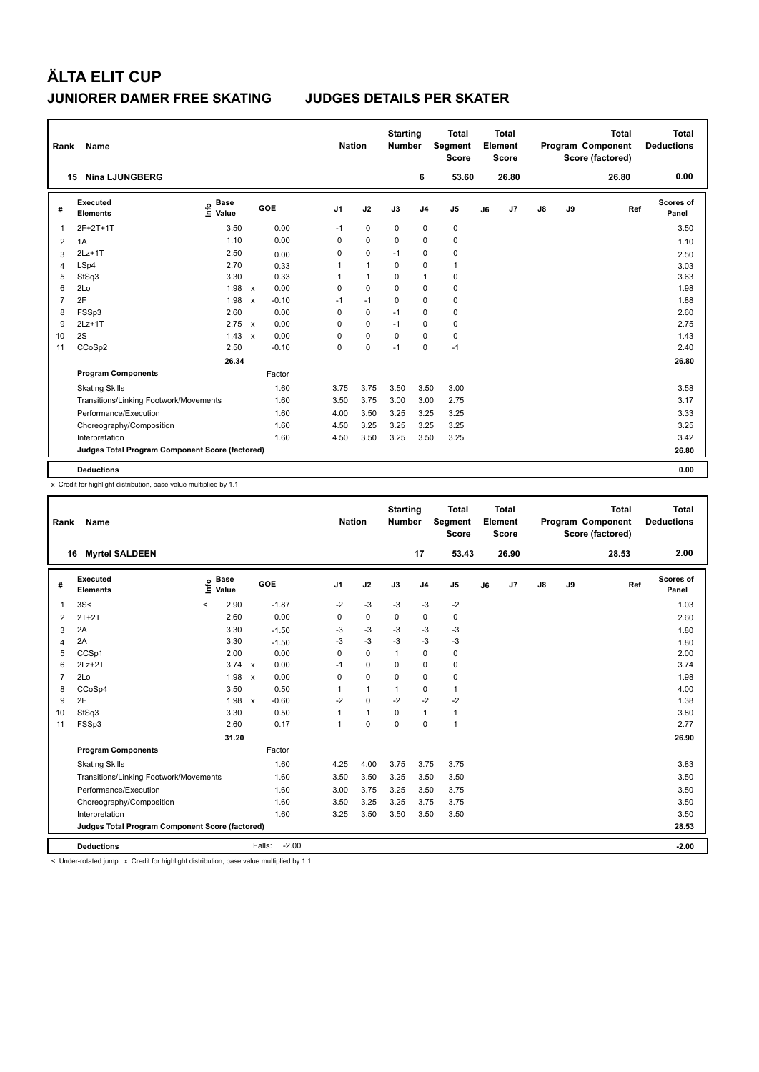| Rank | Name                                            |                              |                           |         |                | <b>Nation</b> |              | <b>Starting</b><br><b>Number</b> |                | <b>Total</b><br>Segment<br><b>Score</b> |    | <b>Total</b><br>Element<br><b>Score</b> |               |    | <b>Total</b><br>Program Component<br>Score (factored) | <b>Total</b><br><b>Deductions</b> |
|------|-------------------------------------------------|------------------------------|---------------------------|---------|----------------|---------------|--------------|----------------------------------|----------------|-----------------------------------------|----|-----------------------------------------|---------------|----|-------------------------------------------------------|-----------------------------------|
|      | <b>Nina LJUNGBERG</b><br>15                     |                              |                           |         |                |               |              |                                  | 6              | 53.60                                   |    | 26.80                                   |               |    | 26.80                                                 | 0.00                              |
| #    | <b>Executed</b><br><b>Elements</b>              | <b>Base</b><br>١nf٥<br>Value |                           | GOE     | J <sub>1</sub> |               | J2           | J3                               | J <sub>4</sub> | J <sub>5</sub>                          | J6 | J7                                      | $\mathsf{J}8$ | J9 | Ref                                                   | <b>Scores of</b><br>Panel         |
| 1    | 2F+2T+1T                                        | 3.50                         |                           | 0.00    | $-1$           |               | $\mathbf 0$  | $\mathbf 0$                      | $\pmb{0}$      | $\pmb{0}$                               |    |                                         |               |    |                                                       | 3.50                              |
| 2    | 1A                                              | 1.10                         |                           | 0.00    | 0              |               | $\mathbf 0$  | 0                                | 0              | 0                                       |    |                                         |               |    |                                                       | 1.10                              |
| 3    | $2Lz+1T$                                        | 2.50                         |                           | 0.00    | 0              |               | $\mathbf 0$  | $-1$                             | 0              | 0                                       |    |                                         |               |    |                                                       | 2.50                              |
| 4    | LSp4                                            | 2.70                         |                           | 0.33    | 1              |               | $\mathbf{1}$ | 0                                | 0              | $\mathbf{1}$                            |    |                                         |               |    |                                                       | 3.03                              |
| 5    | StSq3                                           | 3.30                         |                           | 0.33    | 1              |               | $\mathbf{1}$ | 0                                | $\overline{1}$ | $\pmb{0}$                               |    |                                         |               |    |                                                       | 3.63                              |
| 6    | 2Lo                                             | 1.98                         | $\mathsf{x}$              | 0.00    | 0              |               | $\mathbf 0$  | $\Omega$                         | $\pmb{0}$      | $\pmb{0}$                               |    |                                         |               |    |                                                       | 1.98                              |
| 7    | 2F                                              | 1.98                         | $\mathsf{x}$              | $-0.10$ | $-1$           |               | $-1$         | 0                                | $\mathbf 0$    | $\pmb{0}$                               |    |                                         |               |    |                                                       | 1.88                              |
| 8    | FSSp3                                           | 2.60                         |                           | 0.00    | 0              |               | 0            | $-1$                             | 0              | 0                                       |    |                                         |               |    |                                                       | 2.60                              |
| 9    | $2Lz+1T$                                        | $2.75 \times$                |                           | 0.00    | 0              |               | 0            | $-1$                             | 0              | 0                                       |    |                                         |               |    |                                                       | 2.75                              |
| 10   | 2S                                              | 1.43                         | $\boldsymbol{\mathsf{x}}$ | 0.00    | 0              |               | $\mathbf 0$  | $\Omega$                         | 0              | $\pmb{0}$                               |    |                                         |               |    |                                                       | 1.43                              |
| 11   | CCoSp2                                          | 2.50                         |                           | $-0.10$ | 0              |               | 0            | $-1$                             | 0              | $-1$                                    |    |                                         |               |    |                                                       | 2.40                              |
|      |                                                 | 26.34                        |                           |         |                |               |              |                                  |                |                                         |    |                                         |               |    |                                                       | 26.80                             |
|      | <b>Program Components</b>                       |                              |                           | Factor  |                |               |              |                                  |                |                                         |    |                                         |               |    |                                                       |                                   |
|      | <b>Skating Skills</b>                           |                              |                           | 1.60    | 3.75           |               | 3.75         | 3.50                             | 3.50           | 3.00                                    |    |                                         |               |    |                                                       | 3.58                              |
|      | Transitions/Linking Footwork/Movements          |                              |                           | 1.60    | 3.50           |               | 3.75         | 3.00                             | 3.00           | 2.75                                    |    |                                         |               |    |                                                       | 3.17                              |
|      | Performance/Execution                           |                              |                           | 1.60    | 4.00           |               | 3.50         | 3.25                             | 3.25           | 3.25                                    |    |                                         |               |    |                                                       | 3.33                              |
|      | Choreography/Composition                        |                              |                           | 1.60    | 4.50           |               | 3.25         | 3.25                             | 3.25           | 3.25                                    |    |                                         |               |    |                                                       | 3.25                              |
|      | Interpretation                                  |                              |                           | 1.60    | 4.50           |               | 3.50         | 3.25                             | 3.50           | 3.25                                    |    |                                         |               |    |                                                       | 3.42                              |
|      | Judges Total Program Component Score (factored) |                              |                           |         |                |               |              |                                  |                |                                         |    |                                         |               |    |                                                       | 26.80                             |
|      | <b>Deductions</b>                               |                              |                           |         |                |               |              |                                  |                |                                         |    |                                         |               |    |                                                       | 0.00                              |

x Credit for highlight distribution, base value multiplied by 1.1

| Rank           | Name                                            |          |                      |                         | <b>Nation</b>  |              | <b>Starting</b><br><b>Number</b> |                | <b>Total</b><br>Segment<br><b>Score</b> |    | Total<br>Element<br><b>Score</b> |               |    | <b>Total</b><br>Program Component<br>Score (factored) | <b>Total</b><br><b>Deductions</b> |
|----------------|-------------------------------------------------|----------|----------------------|-------------------------|----------------|--------------|----------------------------------|----------------|-----------------------------------------|----|----------------------------------|---------------|----|-------------------------------------------------------|-----------------------------------|
|                | <b>Myrtel SALDEEN</b><br>16                     |          |                      |                         |                |              |                                  | 17             | 53.43                                   |    | 26.90                            |               |    | 28.53                                                 | 2.00                              |
| #              | <b>Executed</b><br><b>Elements</b>              | ١m٥      | <b>Base</b><br>Value | <b>GOE</b>              | J <sub>1</sub> | J2           | J3                               | J <sub>4</sub> | J <sub>5</sub>                          | J6 | J7                               | $\mathsf{J}8$ | J9 | Ref                                                   | Scores of<br>Panel                |
| 1              | 3S<                                             | $\hat{}$ | 2.90                 | $-1.87$                 | $-2$           | $-3$         | $-3$                             | $-3$           | $-2$                                    |    |                                  |               |    |                                                       | 1.03                              |
| 2              | $2T+2T$                                         |          | 2.60                 | 0.00                    | $\Omega$       | $\mathbf 0$  | $\mathbf 0$                      | $\mathbf 0$    | 0                                       |    |                                  |               |    |                                                       | 2.60                              |
| 3              | 2A                                              |          | 3.30                 | $-1.50$                 | -3             | $-3$         | -3                               | $-3$           | $-3$                                    |    |                                  |               |    |                                                       | 1.80                              |
| $\overline{4}$ | 2A                                              |          | 3.30                 | $-1.50$                 | $-3$           | $-3$         | $-3$                             | $-3$           | $-3$                                    |    |                                  |               |    |                                                       | 1.80                              |
| 5              | CCSp1                                           |          | 2.00                 | 0.00                    | $\Omega$       | $\Omega$     | 1                                | $\mathbf 0$    | 0                                       |    |                                  |               |    |                                                       | 2.00                              |
| 6              | $2Lz+2T$                                        |          | 3.74 x               | 0.00                    | $-1$           | $\pmb{0}$    | 0                                | 0              | 0                                       |    |                                  |               |    |                                                       | 3.74                              |
| $\overline{7}$ | 2Lo                                             |          | 1.98 x               | 0.00                    | 0              | $\mathbf 0$  | $\Omega$                         | 0              | 0                                       |    |                                  |               |    |                                                       | 1.98                              |
| 8              | CCoSp4                                          |          | 3.50                 | 0.50                    | 1              | $\mathbf{1}$ |                                  | 0              | 1                                       |    |                                  |               |    |                                                       | 4.00                              |
| 9              | 2F                                              |          | 1.98                 | $-0.60$<br>$\mathsf{x}$ | $-2$           | $\mathbf 0$  | $-2$                             | $-2$           | $-2$                                    |    |                                  |               |    |                                                       | 1.38                              |
| 10             | StSq3                                           |          | 3.30                 | 0.50                    | 1              | $\mathbf{1}$ | $\mathbf 0$                      | $\mathbf{1}$   | 1                                       |    |                                  |               |    |                                                       | 3.80                              |
| 11             | FSSp3                                           |          | 2.60                 | 0.17                    | $\mathbf{1}$   | $\mathbf 0$  | $\Omega$                         | 0              | $\mathbf{1}$                            |    |                                  |               |    |                                                       | 2.77                              |
|                |                                                 |          | 31.20                |                         |                |              |                                  |                |                                         |    |                                  |               |    |                                                       | 26.90                             |
|                | <b>Program Components</b>                       |          |                      | Factor                  |                |              |                                  |                |                                         |    |                                  |               |    |                                                       |                                   |
|                | <b>Skating Skills</b>                           |          |                      | 1.60                    | 4.25           | 4.00         | 3.75                             | 3.75           | 3.75                                    |    |                                  |               |    |                                                       | 3.83                              |
|                | Transitions/Linking Footwork/Movements          |          |                      | 1.60                    | 3.50           | 3.50         | 3.25                             | 3.50           | 3.50                                    |    |                                  |               |    |                                                       | 3.50                              |
|                | Performance/Execution                           |          |                      | 1.60                    | 3.00           | 3.75         | 3.25                             | 3.50           | 3.75                                    |    |                                  |               |    |                                                       | 3.50                              |
|                | Choreography/Composition                        |          |                      | 1.60                    | 3.50           | 3.25         | 3.25                             | 3.75           | 3.75                                    |    |                                  |               |    |                                                       | 3.50                              |
|                | Interpretation                                  |          |                      | 1.60                    | 3.25           | 3.50         | 3.50                             | 3.50           | 3.50                                    |    |                                  |               |    |                                                       | 3.50                              |
|                | Judges Total Program Component Score (factored) |          |                      |                         |                |              |                                  |                |                                         |    |                                  |               |    |                                                       | 28.53                             |
|                | <b>Deductions</b>                               |          |                      | $-2.00$<br>Falls:       |                |              |                                  |                |                                         |    |                                  |               |    |                                                       | $-2.00$                           |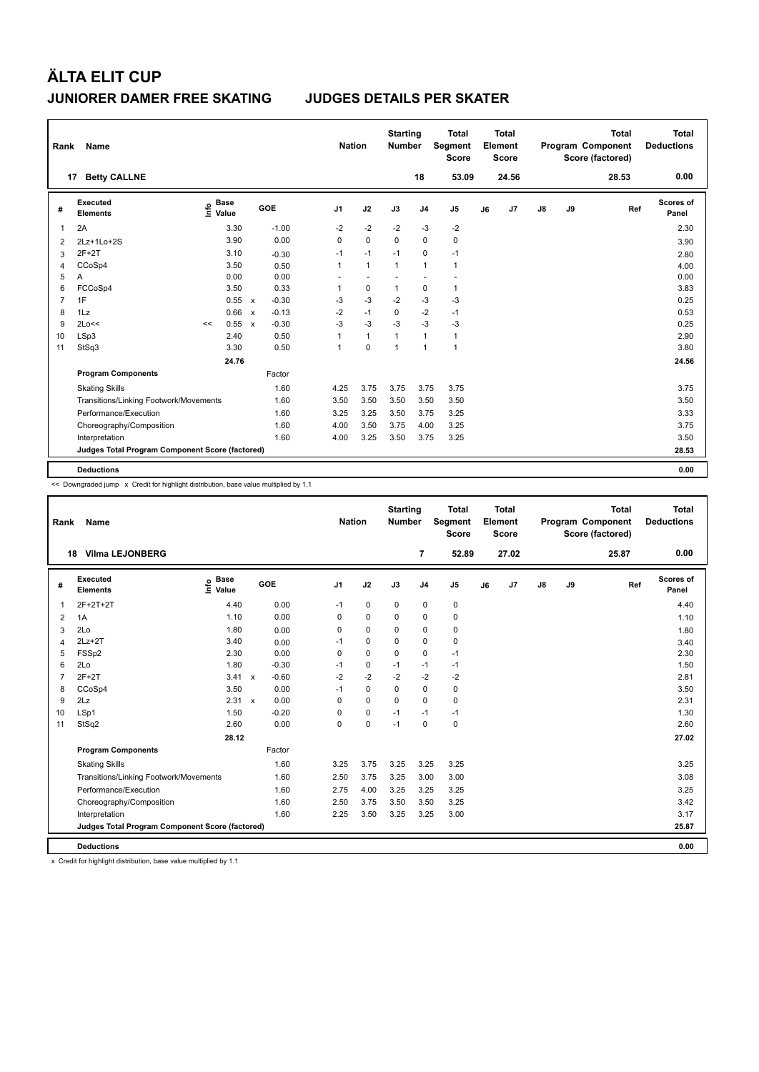| Rank           | Name                                            |      |                      |                           |         | <b>Nation</b>  |              | <b>Starting</b><br><b>Number</b> |                | <b>Total</b><br>Segment<br><b>Score</b> |    | Total<br>Element<br>Score |    |    | <b>Total</b><br>Program Component<br>Score (factored) | Total<br><b>Deductions</b> |
|----------------|-------------------------------------------------|------|----------------------|---------------------------|---------|----------------|--------------|----------------------------------|----------------|-----------------------------------------|----|---------------------------|----|----|-------------------------------------------------------|----------------------------|
|                | <b>Betty CALLNE</b><br>17                       |      |                      |                           |         |                |              |                                  | 18             | 53.09                                   |    | 24.56                     |    |    | 28.53                                                 | 0.00                       |
| #              | Executed<br><b>Elements</b>                     | ١nfo | <b>Base</b><br>Value |                           | GOE     | J <sub>1</sub> | J2           | J3                               | J <sub>4</sub> | J <sub>5</sub>                          | J6 | J7                        | J8 | J9 | Ref                                                   | Scores of<br>Panel         |
| 1              | 2A                                              |      | 3.30                 |                           | $-1.00$ | $-2$           | $-2$         | $-2$                             | $-3$           | $-2$                                    |    |                           |    |    |                                                       | 2.30                       |
| 2              | 2Lz+1Lo+2S                                      |      | 3.90                 |                           | 0.00    | 0              | $\mathbf 0$  | $\Omega$                         | $\mathbf 0$    | 0                                       |    |                           |    |    |                                                       | 3.90                       |
| 3              | $2F+2T$                                         |      | 3.10                 |                           | $-0.30$ | $-1$           | $-1$         | $-1$                             | $\mathbf 0$    | $-1$                                    |    |                           |    |    |                                                       | 2.80                       |
| $\overline{4}$ | CCoSp4                                          |      | 3.50                 |                           | 0.50    | 1              | $\mathbf{1}$ | $\mathbf{1}$                     | $\mathbf{1}$   | $\mathbf{1}$                            |    |                           |    |    |                                                       | 4.00                       |
| 5              | Α                                               |      | 0.00                 |                           | 0.00    | ٠              |              |                                  | ٠              |                                         |    |                           |    |    |                                                       | 0.00                       |
| 6              | FCCoSp4                                         |      | 3.50                 |                           | 0.33    | 1              | $\mathbf 0$  | $\mathbf{1}$                     | $\pmb{0}$      | $\mathbf{1}$                            |    |                           |    |    |                                                       | 3.83                       |
| $\overline{7}$ | 1F                                              |      | 0.55                 | $\mathsf{x}$              | $-0.30$ | -3             | $-3$         | $-2$                             | $-3$           | $-3$                                    |    |                           |    |    |                                                       | 0.25                       |
| 8              | 1Lz                                             |      | 0.66                 | $\boldsymbol{\mathsf{x}}$ | $-0.13$ | $-2$           | $-1$         | $\mathbf 0$                      | $-2$           | $-1$                                    |    |                           |    |    |                                                       | 0.53                       |
| 9              | 2Lo<<                                           | <<   | 0.55                 | $\mathbf{x}$              | $-0.30$ | $-3$           | $-3$         | $-3$                             | $-3$           | $-3$                                    |    |                           |    |    |                                                       | 0.25                       |
| 10             | LSp3                                            |      | 2.40                 |                           | 0.50    | 1              | $\mathbf{1}$ | $\mathbf{1}$                     | $\mathbf{1}$   | $\mathbf{1}$                            |    |                           |    |    |                                                       | 2.90                       |
| 11             | StSq3                                           |      | 3.30                 |                           | 0.50    | 1              | $\mathbf 0$  | $\overline{1}$                   | $\overline{1}$ | $\mathbf{1}$                            |    |                           |    |    |                                                       | 3.80                       |
|                |                                                 |      | 24.76                |                           |         |                |              |                                  |                |                                         |    |                           |    |    |                                                       | 24.56                      |
|                | <b>Program Components</b>                       |      |                      |                           | Factor  |                |              |                                  |                |                                         |    |                           |    |    |                                                       |                            |
|                | <b>Skating Skills</b>                           |      |                      |                           | 1.60    | 4.25           | 3.75         | 3.75                             | 3.75           | 3.75                                    |    |                           |    |    |                                                       | 3.75                       |
|                | Transitions/Linking Footwork/Movements          |      |                      |                           | 1.60    | 3.50           | 3.50         | 3.50                             | 3.50           | 3.50                                    |    |                           |    |    |                                                       | 3.50                       |
|                | Performance/Execution                           |      |                      |                           | 1.60    | 3.25           | 3.25         | 3.50                             | 3.75           | 3.25                                    |    |                           |    |    |                                                       | 3.33                       |
|                | Choreography/Composition                        |      |                      |                           | 1.60    | 4.00           | 3.50         | 3.75                             | 4.00           | 3.25                                    |    |                           |    |    |                                                       | 3.75                       |
|                | Interpretation                                  |      |                      |                           | 1.60    | 4.00           | 3.25         | 3.50                             | 3.75           | 3.25                                    |    |                           |    |    |                                                       | 3.50                       |
|                | Judges Total Program Component Score (factored) |      |                      |                           |         |                |              |                                  |                |                                         |    |                           |    |    |                                                       | 28.53                      |
|                | <b>Deductions</b>                               |      |                      |                           |         |                |              |                                  |                |                                         |    |                           |    |    |                                                       | 0.00                       |

<< Downgraded jump x Credit for highlight distribution, base value multiplied by 1.1

| Rank           | Name                                            |                            |                         | <b>Nation</b>  |             | <b>Starting</b><br><b>Number</b> |                | <b>Total</b><br><b>Segment</b><br><b>Score</b> |    | Total<br>Element<br><b>Score</b> |    |    | <b>Total</b><br>Program Component<br>Score (factored) | Total<br><b>Deductions</b> |
|----------------|-------------------------------------------------|----------------------------|-------------------------|----------------|-------------|----------------------------------|----------------|------------------------------------------------|----|----------------------------------|----|----|-------------------------------------------------------|----------------------------|
|                | <b>Vilma LEJONBERG</b><br>18                    |                            |                         |                |             |                                  | $\overline{7}$ | 52.89                                          |    | 27.02                            |    |    | 25.87                                                 | 0.00                       |
| #              | Executed<br><b>Elements</b>                     | <b>Base</b><br>١ų<br>Value | GOE                     | J <sub>1</sub> | J2          | J3                               | J <sub>4</sub> | J5                                             | J6 | J <sub>7</sub>                   | J8 | J9 | Ref                                                   | Scores of<br>Panel         |
| 1              | 2F+2T+2T                                        | 4.40                       | 0.00                    | $-1$           | 0           | 0                                | 0              | 0                                              |    |                                  |    |    |                                                       | 4.40                       |
| 2              | 1A                                              | 1.10                       | 0.00                    | $\Omega$       | $\Omega$    | $\Omega$                         | $\Omega$       | 0                                              |    |                                  |    |    |                                                       | 1.10                       |
| 3              | 2Lo                                             | 1.80                       | 0.00                    | $\Omega$       | $\Omega$    | $\Omega$                         | 0              | 0                                              |    |                                  |    |    |                                                       | 1.80                       |
| 4              | $2Lz+2T$                                        | 3.40                       | 0.00                    | $-1$           | 0           | 0                                | 0              | 0                                              |    |                                  |    |    |                                                       | 3.40                       |
| 5              | FSSp2                                           | 2.30                       | 0.00                    | $\Omega$       | $\Omega$    | $\Omega$                         | 0              | $-1$                                           |    |                                  |    |    |                                                       | 2.30                       |
| 6              | 2Lo                                             | 1.80                       | $-0.30$                 | $-1$           | 0           | $-1$                             | $-1$           | $-1$                                           |    |                                  |    |    |                                                       | 1.50                       |
| $\overline{7}$ | $2F+2T$                                         | 3.41                       | $-0.60$<br>$\mathsf{x}$ | $-2$           | $-2$        | $-2$                             | $-2$           | $-2$                                           |    |                                  |    |    |                                                       | 2.81                       |
| 8              | CCoSp4                                          | 3.50                       | 0.00                    | $-1$           | 0           | 0                                | 0              | 0                                              |    |                                  |    |    |                                                       | 3.50                       |
| 9              | 2Lz                                             | 2.31 x                     | 0.00                    | $\Omega$       | $\Omega$    | $\Omega$                         | $\Omega$       | 0                                              |    |                                  |    |    |                                                       | 2.31                       |
| 10             | LSp1                                            | 1.50                       | $-0.20$                 | 0              | 0           | $-1$                             | $-1$           | $-1$                                           |    |                                  |    |    |                                                       | 1.30                       |
| 11             | StSq2                                           | 2.60                       | 0.00                    | 0              | $\mathbf 0$ | $-1$                             | 0              | 0                                              |    |                                  |    |    |                                                       | 2.60                       |
|                |                                                 | 28.12                      |                         |                |             |                                  |                |                                                |    |                                  |    |    |                                                       | 27.02                      |
|                | <b>Program Components</b>                       |                            | Factor                  |                |             |                                  |                |                                                |    |                                  |    |    |                                                       |                            |
|                | <b>Skating Skills</b>                           |                            | 1.60                    | 3.25           | 3.75        | 3.25                             | 3.25           | 3.25                                           |    |                                  |    |    |                                                       | 3.25                       |
|                | Transitions/Linking Footwork/Movements          |                            | 1.60                    | 2.50           | 3.75        | 3.25                             | 3.00           | 3.00                                           |    |                                  |    |    |                                                       | 3.08                       |
|                | Performance/Execution                           |                            | 1.60                    | 2.75           | 4.00        | 3.25                             | 3.25           | 3.25                                           |    |                                  |    |    |                                                       | 3.25                       |
|                | Choreography/Composition                        |                            | 1.60                    | 2.50           | 3.75        | 3.50                             | 3.50           | 3.25                                           |    |                                  |    |    |                                                       | 3.42                       |
|                | Interpretation                                  |                            | 1.60                    | 2.25           | 3.50        | 3.25                             | 3.25           | 3.00                                           |    |                                  |    |    |                                                       | 3.17                       |
|                | Judges Total Program Component Score (factored) |                            |                         |                |             |                                  |                |                                                |    |                                  |    |    |                                                       | 25.87                      |
|                | <b>Deductions</b>                               |                            |                         |                |             |                                  |                |                                                |    |                                  |    |    |                                                       | 0.00                       |

x Credit for highlight distribution, base value multiplied by 1.1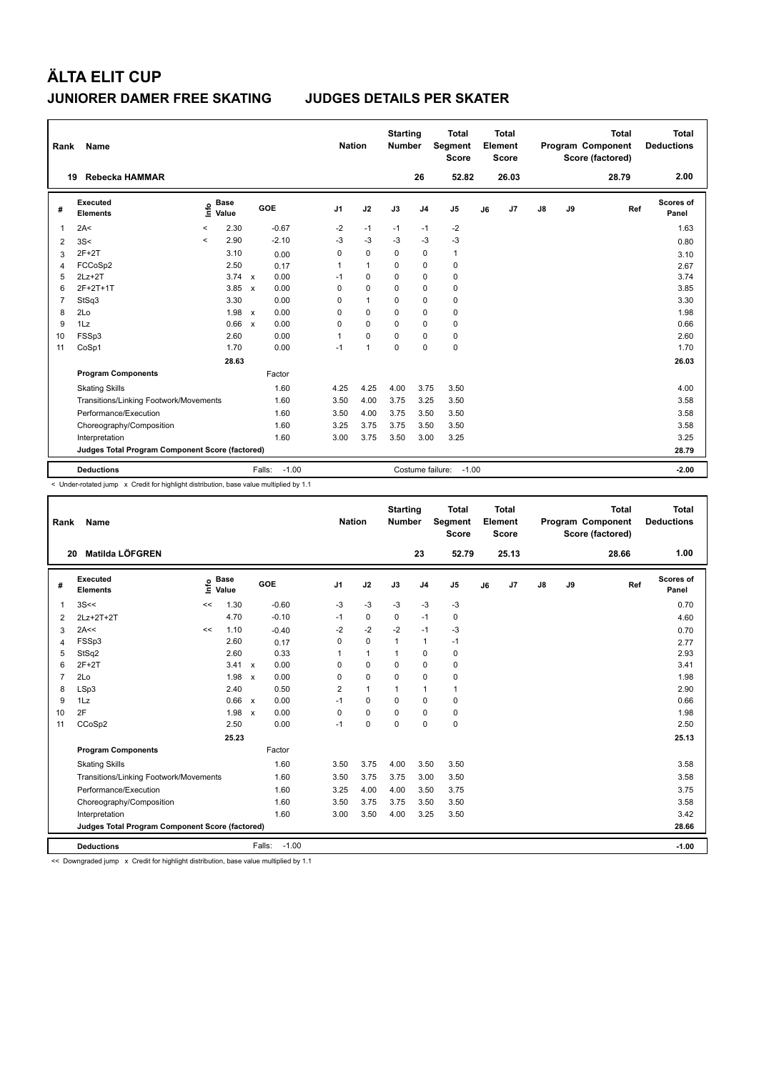| Rank           | Name                                            |         |                      |                           |                   |                | <b>Nation</b> |              | <b>Starting</b><br><b>Number</b> |                  | <b>Total</b><br>Segment<br><b>Score</b> |    | <b>Total</b><br>Element<br><b>Score</b> |               |    | <b>Total</b><br>Program Component<br>Score (factored) | Total<br><b>Deductions</b> |
|----------------|-------------------------------------------------|---------|----------------------|---------------------------|-------------------|----------------|---------------|--------------|----------------------------------|------------------|-----------------------------------------|----|-----------------------------------------|---------------|----|-------------------------------------------------------|----------------------------|
| 19             | Rebecka HAMMAR                                  |         |                      |                           |                   |                |               |              |                                  | 26               | 52.82                                   |    | 26.03                                   |               |    | 28.79                                                 | 2.00                       |
| #              | Executed<br><b>Elements</b>                     | lnfo    | <b>Base</b><br>Value |                           | GOE               | J <sub>1</sub> |               | J2           | J3                               | J <sub>4</sub>   | J <sub>5</sub>                          | J6 | J7                                      | $\mathsf{J}8$ | J9 | Ref                                                   | Scores of<br>Panel         |
| 1              | 2A<                                             | $\,<$   | 2.30                 |                           | $-0.67$           | $-2$           |               | $-1$         | $-1$                             | $-1$             | $-2$                                    |    |                                         |               |    |                                                       | 1.63                       |
| 2              | 3S<                                             | $\prec$ | 2.90                 |                           | $-2.10$           | $-3$           |               | $-3$         | $-3$                             | $-3$             | $-3$                                    |    |                                         |               |    |                                                       | 0.80                       |
| 3              | $2F+2T$                                         |         | 3.10                 |                           | 0.00              | 0              |               | $\mathbf 0$  | $\Omega$                         | 0                | $\mathbf{1}$                            |    |                                         |               |    |                                                       | 3.10                       |
| 4              | FCCoSp2                                         |         | 2.50                 |                           | 0.17              | 1              |               | $\mathbf{1}$ | 0                                | 0                | $\mathbf 0$                             |    |                                         |               |    |                                                       | 2.67                       |
| 5              | $2Lz+2T$                                        |         | 3.74                 | $\mathsf{x}$              | 0.00              | $-1$           |               | $\mathbf 0$  | $\Omega$                         | $\Omega$         | 0                                       |    |                                         |               |    |                                                       | 3.74                       |
| 6              | 2F+2T+1T                                        |         | 3.85                 | $\mathsf{x}$              | 0.00              | 0              |               | $\mathbf 0$  | 0                                | 0                | 0                                       |    |                                         |               |    |                                                       | 3.85                       |
| $\overline{7}$ | StSq3                                           |         | 3.30                 |                           | 0.00              | 0              |               | $\mathbf{1}$ | $\Omega$                         | $\Omega$         | 0                                       |    |                                         |               |    |                                                       | 3.30                       |
| 8              | 2Lo                                             |         | 1.98                 | $\mathsf{x}$              | 0.00              | 0              |               | $\mathbf 0$  | $\Omega$                         | 0                | 0                                       |    |                                         |               |    |                                                       | 1.98                       |
| 9              | 1Lz                                             |         | 0.66                 | $\boldsymbol{\mathsf{x}}$ | 0.00              | 0              |               | $\mathbf 0$  | $\Omega$                         | $\mathbf 0$      | 0                                       |    |                                         |               |    |                                                       | 0.66                       |
| 10             | FSSp3                                           |         | 2.60                 |                           | 0.00              | 1              |               | $\Omega$     | 0                                | $\mathbf 0$      | $\pmb{0}$                               |    |                                         |               |    |                                                       | 2.60                       |
| 11             | CoSp1                                           |         | 1.70                 |                           | 0.00              | $-1$           |               | $\mathbf{1}$ | $\Omega$                         | $\Omega$         | $\mathbf 0$                             |    |                                         |               |    |                                                       | 1.70                       |
|                |                                                 |         | 28.63                |                           |                   |                |               |              |                                  |                  |                                         |    |                                         |               |    |                                                       | 26.03                      |
|                | <b>Program Components</b>                       |         |                      |                           | Factor            |                |               |              |                                  |                  |                                         |    |                                         |               |    |                                                       |                            |
|                | <b>Skating Skills</b>                           |         |                      |                           | 1.60              | 4.25           |               | 4.25         | 4.00                             | 3.75             | 3.50                                    |    |                                         |               |    |                                                       | 4.00                       |
|                | Transitions/Linking Footwork/Movements          |         |                      |                           | 1.60              | 3.50           |               | 4.00         | 3.75                             | 3.25             | 3.50                                    |    |                                         |               |    |                                                       | 3.58                       |
|                | Performance/Execution                           |         |                      |                           | 1.60              | 3.50           |               | 4.00         | 3.75                             | 3.50             | 3.50                                    |    |                                         |               |    |                                                       | 3.58                       |
|                | Choreography/Composition                        |         |                      |                           | 1.60              | 3.25           |               | 3.75         | 3.75                             | 3.50             | 3.50                                    |    |                                         |               |    |                                                       | 3.58                       |
|                | Interpretation                                  |         |                      |                           | 1.60              | 3.00           |               | 3.75         | 3.50                             | 3.00             | 3.25                                    |    |                                         |               |    |                                                       | 3.25                       |
|                | Judges Total Program Component Score (factored) |         |                      |                           |                   |                |               |              |                                  |                  |                                         |    |                                         |               |    |                                                       | 28.79                      |
|                | <b>Deductions</b>                               |         |                      |                           | $-1.00$<br>Falls: |                |               |              |                                  | Costume failure: | $-1.00$                                 |    |                                         |               |    |                                                       | $-2.00$                    |

< Under-rotated jump x Credit for highlight distribution, base value multiplied by 1.1

| Rank           | <b>Name</b>                                     |    |                      |                           |                   | <b>Nation</b>  |              | <b>Starting</b><br><b>Number</b> |                | <b>Total</b><br>Segment<br><b>Score</b> |    | <b>Total</b><br>Element<br><b>Score</b> |               |    | <b>Total</b><br>Program Component<br>Score (factored) | Total<br><b>Deductions</b> |
|----------------|-------------------------------------------------|----|----------------------|---------------------------|-------------------|----------------|--------------|----------------------------------|----------------|-----------------------------------------|----|-----------------------------------------|---------------|----|-------------------------------------------------------|----------------------------|
| 20             | Matilda LÖFGREN                                 |    |                      |                           |                   |                |              |                                  | 23             | 52.79                                   |    | 25.13                                   |               |    | 28.66                                                 | 1.00                       |
| #              | Executed<br><b>Elements</b>                     | ١m | <b>Base</b><br>Value |                           | <b>GOE</b>        | J <sub>1</sub> | J2           | J3                               | J <sub>4</sub> | J <sub>5</sub>                          | J6 | J7                                      | $\mathsf{J}8$ | J9 | Ref                                                   | <b>Scores of</b><br>Panel  |
| $\mathbf{1}$   | 3S<<                                            | << | 1.30                 |                           | $-0.60$           | -3             | -3           | -3                               | -3             | $-3$                                    |    |                                         |               |    |                                                       | 0.70                       |
| 2              | 2Lz+2T+2T                                       |    | 4.70                 |                           | $-0.10$           | $-1$           | $\mathbf 0$  | $\Omega$                         | $-1$           | $\mathbf 0$                             |    |                                         |               |    |                                                       | 4.60                       |
| 3              | 2A<<                                            | << | 1.10                 |                           | $-0.40$           | $-2$           | $-2$         | $-2$                             | $-1$           | $-3$                                    |    |                                         |               |    |                                                       | 0.70                       |
| $\overline{4}$ | FSSp3                                           |    | 2.60                 |                           | 0.17              | $\Omega$       | $\Omega$     | $\mathbf{1}$                     | $\mathbf{1}$   | $-1$                                    |    |                                         |               |    |                                                       | 2.77                       |
| 5              | StSq2                                           |    | 2.60                 |                           | 0.33              | 1              | $\mathbf{1}$ | $\mathbf{1}$                     | $\mathbf 0$    | $\mathbf 0$                             |    |                                         |               |    |                                                       | 2.93                       |
| 6              | $2F+2T$                                         |    | 3.41                 | $\mathbf{x}$              | 0.00              | $\Omega$       | $\mathbf 0$  | $\Omega$                         | $\Omega$       | $\pmb{0}$                               |    |                                         |               |    |                                                       | 3.41                       |
| $\overline{7}$ | 2Lo                                             |    | 1.98                 | $\boldsymbol{\mathsf{x}}$ | 0.00              | $\Omega$       | $\mathbf 0$  | 0                                | 0              | 0                                       |    |                                         |               |    |                                                       | 1.98                       |
| 8              | LSp3                                            |    | 2.40                 |                           | 0.50              | $\overline{2}$ | $\mathbf{1}$ | 1                                | $\mathbf{1}$   | $\mathbf{1}$                            |    |                                         |               |    |                                                       | 2.90                       |
| 9              | 1Lz                                             |    | 0.66                 | $\mathsf{x}$              | 0.00              | $-1$           | $\Omega$     | $\Omega$                         | $\mathbf 0$    | 0                                       |    |                                         |               |    |                                                       | 0.66                       |
| 10             | 2F                                              |    | 1.98                 | $\mathsf{x}$              | 0.00              | 0              | 0            | 0                                | 0              | 0                                       |    |                                         |               |    |                                                       | 1.98                       |
| 11             | CCoSp2                                          |    | 2.50                 |                           | 0.00              | $-1$           | $\mathbf 0$  | $\mathbf 0$                      | $\mathbf 0$    | $\mathbf 0$                             |    |                                         |               |    |                                                       | 2.50                       |
|                |                                                 |    | 25.23                |                           |                   |                |              |                                  |                |                                         |    |                                         |               |    |                                                       | 25.13                      |
|                | <b>Program Components</b>                       |    |                      |                           | Factor            |                |              |                                  |                |                                         |    |                                         |               |    |                                                       |                            |
|                | <b>Skating Skills</b>                           |    |                      |                           | 1.60              | 3.50           | 3.75         | 4.00                             | 3.50           | 3.50                                    |    |                                         |               |    |                                                       | 3.58                       |
|                | Transitions/Linking Footwork/Movements          |    |                      |                           | 1.60              | 3.50           | 3.75         | 3.75                             | 3.00           | 3.50                                    |    |                                         |               |    |                                                       | 3.58                       |
|                | Performance/Execution                           |    |                      |                           | 1.60              | 3.25           | 4.00         | 4.00                             | 3.50           | 3.75                                    |    |                                         |               |    |                                                       | 3.75                       |
|                | Choreography/Composition                        |    |                      |                           | 1.60              | 3.50           | 3.75         | 3.75                             | 3.50           | 3.50                                    |    |                                         |               |    |                                                       | 3.58                       |
|                | Interpretation                                  |    |                      |                           | 1.60              | 3.00           | 3.50         | 4.00                             | 3.25           | 3.50                                    |    |                                         |               |    |                                                       | 3.42                       |
|                | Judges Total Program Component Score (factored) |    |                      |                           |                   |                |              |                                  |                |                                         |    |                                         |               |    |                                                       | 28.66                      |
|                | <b>Deductions</b>                               |    |                      |                           | $-1.00$<br>Falls: |                |              |                                  |                |                                         |    |                                         |               |    |                                                       | $-1.00$                    |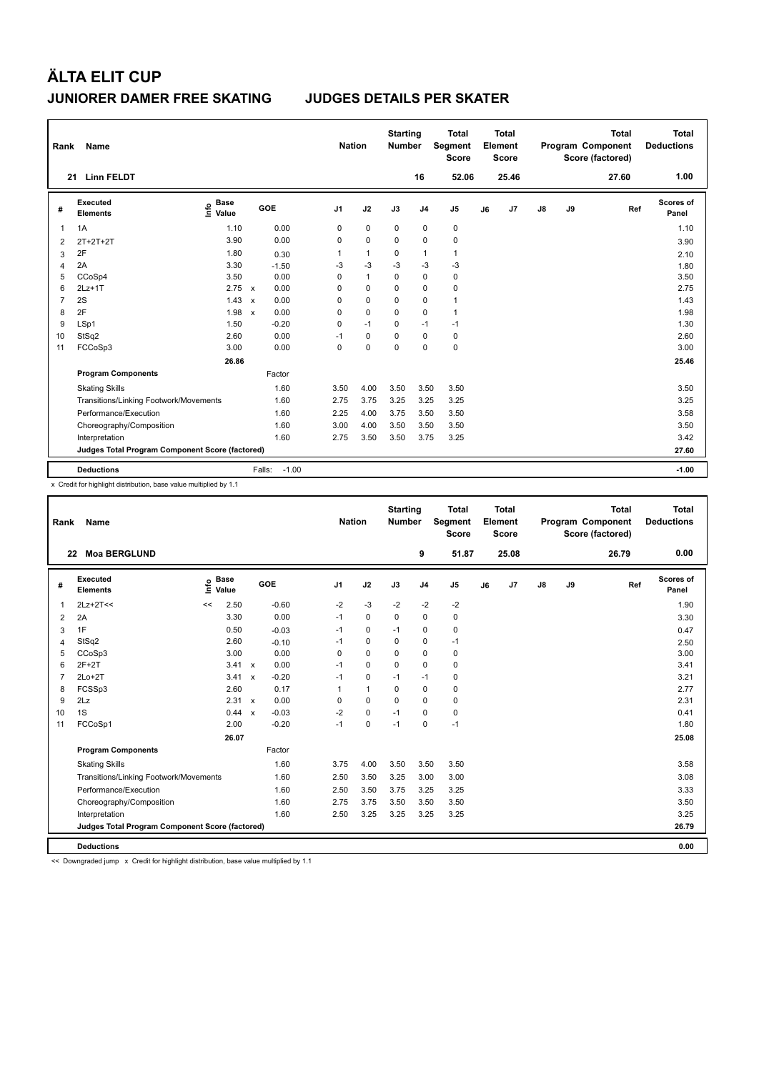| Rank           | Name                                            |                              |                      | <b>Nation</b>  |                | <b>Starting</b><br>Number |                | <b>Total</b><br>Segment<br><b>Score</b> |    | <b>Total</b><br>Element<br><b>Score</b> |               |    | <b>Total</b><br>Program Component<br>Score (factored) | <b>Total</b><br><b>Deductions</b> |
|----------------|-------------------------------------------------|------------------------------|----------------------|----------------|----------------|---------------------------|----------------|-----------------------------------------|----|-----------------------------------------|---------------|----|-------------------------------------------------------|-----------------------------------|
| 21             | <b>Linn FELDT</b>                               |                              |                      |                |                |                           | 16             | 52.06                                   |    | 25.46                                   |               |    | 27.60                                                 | 1.00                              |
| #              | Executed<br><b>Elements</b>                     | <b>Base</b><br>lnfo<br>Value | GOE                  | J <sub>1</sub> | J2             | J3                        | J <sub>4</sub> | J <sub>5</sub>                          | J6 | J <sub>7</sub>                          | $\mathsf{J}8$ | J9 | Ref                                                   | Scores of<br>Panel                |
| 1              | 1A                                              | 1.10                         | 0.00                 | 0              | $\mathbf 0$    | $\mathbf 0$               | $\mathbf 0$    | 0                                       |    |                                         |               |    |                                                       | 1.10                              |
| 2              | $2T+2T+2T$                                      | 3.90                         | 0.00                 | 0              | $\mathbf 0$    | $\Omega$                  | $\mathbf 0$    | $\mathbf 0$                             |    |                                         |               |    |                                                       | 3.90                              |
| 3              | 2F                                              | 1.80                         | 0.30                 | 1              | $\mathbf{1}$   | 0                         | $\mathbf{1}$   | $\mathbf{1}$                            |    |                                         |               |    |                                                       | 2.10                              |
| $\overline{4}$ | 2A                                              | 3.30                         | $-1.50$              | $-3$           | $-3$           | $-3$                      | $-3$           | $-3$                                    |    |                                         |               |    |                                                       | 1.80                              |
| 5              | CCoSp4                                          | 3.50                         | 0.00                 | 0              | $\overline{1}$ | $\mathbf 0$               | $\mathbf 0$    | 0                                       |    |                                         |               |    |                                                       | 3.50                              |
| 6              | $2Lz+1T$                                        | $2.75 \times$                | 0.00                 | 0              | $\mathbf 0$    | $\Omega$                  | $\mathbf 0$    | 0                                       |    |                                         |               |    |                                                       | 2.75                              |
| $\overline{7}$ | 2S                                              | 1.43                         | 0.00<br>$\mathsf{x}$ | 0              | $\mathbf 0$    | $\mathbf 0$               | $\mathbf 0$    | $\mathbf{1}$                            |    |                                         |               |    |                                                       | 1.43                              |
| 8              | 2F                                              | 1.98                         | 0.00<br>$\mathsf{x}$ | 0              | $\mathbf 0$    | 0                         | $\mathbf 0$    | $\mathbf{1}$                            |    |                                         |               |    |                                                       | 1.98                              |
| 9              | LSp1                                            | 1.50                         | $-0.20$              | 0              | $-1$           | 0                         | $-1$           | $-1$                                    |    |                                         |               |    |                                                       | 1.30                              |
| 10             | StSq2                                           | 2.60                         | 0.00                 | $-1$           | $\mathbf 0$    | $\Omega$                  | $\mathbf 0$    | 0                                       |    |                                         |               |    |                                                       | 2.60                              |
| 11             | FCCoSp3                                         | 3.00                         | 0.00                 | 0              | $\mathbf 0$    | $\mathbf 0$               | $\mathbf 0$    | $\mathbf 0$                             |    |                                         |               |    |                                                       | 3.00                              |
|                |                                                 | 26.86                        |                      |                |                |                           |                |                                         |    |                                         |               |    |                                                       | 25.46                             |
|                | <b>Program Components</b>                       |                              | Factor               |                |                |                           |                |                                         |    |                                         |               |    |                                                       |                                   |
|                | <b>Skating Skills</b>                           |                              | 1.60                 | 3.50           | 4.00           | 3.50                      | 3.50           | 3.50                                    |    |                                         |               |    |                                                       | 3.50                              |
|                | Transitions/Linking Footwork/Movements          |                              | 1.60                 | 2.75           | 3.75           | 3.25                      | 3.25           | 3.25                                    |    |                                         |               |    |                                                       | 3.25                              |
|                | Performance/Execution                           |                              | 1.60                 | 2.25           | 4.00           | 3.75                      | 3.50           | 3.50                                    |    |                                         |               |    |                                                       | 3.58                              |
|                | Choreography/Composition                        |                              | 1.60                 | 3.00           | 4.00           | 3.50                      | 3.50           | 3.50                                    |    |                                         |               |    |                                                       | 3.50                              |
|                | Interpretation                                  |                              | 1.60                 | 2.75           | 3.50           | 3.50                      | 3.75           | 3.25                                    |    |                                         |               |    |                                                       | 3.42                              |
|                | Judges Total Program Component Score (factored) |                              |                      |                |                |                           |                |                                         |    |                                         |               |    |                                                       | 27.60                             |
|                | <b>Deductions</b>                               |                              | $-1.00$<br>Falls:    |                |                |                           |                |                                         |    |                                         |               |    |                                                       | $-1.00$                           |

x Credit for highlight distribution, base value multiplied by 1.1

| Rank           | Name                                            |      |                      |              |         |                | <b>Nation</b> |              | <b>Starting</b><br><b>Number</b> |                | <b>Total</b><br>Segment<br><b>Score</b> |    | <b>Total</b><br>Element<br><b>Score</b> |               |    | <b>Total</b><br>Program Component<br>Score (factored) |     | <b>Total</b><br><b>Deductions</b> |
|----------------|-------------------------------------------------|------|----------------------|--------------|---------|----------------|---------------|--------------|----------------------------------|----------------|-----------------------------------------|----|-----------------------------------------|---------------|----|-------------------------------------------------------|-----|-----------------------------------|
|                | <b>Moa BERGLUND</b><br>22                       |      |                      |              |         |                |               |              |                                  | 9              | 51.87                                   |    | 25.08                                   |               |    | 26.79                                                 |     | 0.00                              |
| #              | Executed<br><b>Elements</b>                     | ١mfo | <b>Base</b><br>Value |              | GOE     | J <sub>1</sub> |               | J2           | J3                               | J <sub>4</sub> | J5                                      | J6 | J7                                      | $\mathsf{J}8$ | J9 |                                                       | Ref | Scores of<br>Panel                |
| 1              | $2Lz+2T<<$                                      | <<   | 2.50                 |              | $-0.60$ | $-2$           |               | $-3$         | $-2$                             | $-2$           | $-2$                                    |    |                                         |               |    |                                                       |     | 1.90                              |
| 2              | 2A                                              |      | 3.30                 |              | 0.00    | $-1$           |               | $\mathbf 0$  | 0                                | $\mathbf 0$    | 0                                       |    |                                         |               |    |                                                       |     | 3.30                              |
| 3              | 1F                                              |      | 0.50                 |              | $-0.03$ | $-1$           |               | 0            | $-1$                             | 0              | 0                                       |    |                                         |               |    |                                                       |     | 0.47                              |
| $\overline{4}$ | StSq2                                           |      | 2.60                 |              | $-0.10$ | $-1$           |               | $\pmb{0}$    | $\mathbf 0$                      | $\mathbf 0$    | $-1$                                    |    |                                         |               |    |                                                       |     | 2.50                              |
| 5              | CCoSp3                                          |      | 3.00                 |              | 0.00    | $\Omega$       |               | $\mathbf 0$  | 0                                | 0              | 0                                       |    |                                         |               |    |                                                       |     | 3.00                              |
| 6              | $2F+2T$                                         |      | 3.41 x               |              | 0.00    | $-1$           |               | 0            | $\Omega$                         | $\mathbf 0$    | 0                                       |    |                                         |               |    |                                                       |     | 3.41                              |
| 7              | $2Lo+2T$                                        |      | 3.41                 | $\mathsf{x}$ | $-0.20$ | $-1$           |               | $\mathbf 0$  | $-1$                             | $-1$           | 0                                       |    |                                         |               |    |                                                       |     | 3.21                              |
| 8              | FCSSp3                                          |      | 2.60                 |              | 0.17    | 1              |               | $\mathbf{1}$ | 0                                | 0              | 0                                       |    |                                         |               |    |                                                       |     | 2.77                              |
| 9              | 2Lz                                             |      | 2.31 x               |              | 0.00    | 0              |               | $\mathbf 0$  | $\Omega$                         | $\mathbf 0$    | 0                                       |    |                                         |               |    |                                                       |     | 2.31                              |
| 10             | 1S                                              |      | 0.44                 | $\mathbf{x}$ | $-0.03$ | $-2$           |               | $\mathbf 0$  | $-1$                             | $\mathbf 0$    | 0                                       |    |                                         |               |    |                                                       |     | 0.41                              |
| 11             | FCCoSp1                                         |      | 2.00                 |              | $-0.20$ | $-1$           |               | $\mathbf 0$  | $-1$                             | $\Omega$       | $-1$                                    |    |                                         |               |    |                                                       |     | 1.80                              |
|                |                                                 |      | 26.07                |              |         |                |               |              |                                  |                |                                         |    |                                         |               |    |                                                       |     | 25.08                             |
|                | <b>Program Components</b>                       |      |                      |              | Factor  |                |               |              |                                  |                |                                         |    |                                         |               |    |                                                       |     |                                   |
|                | <b>Skating Skills</b>                           |      |                      |              | 1.60    | 3.75           |               | 4.00         | 3.50                             | 3.50           | 3.50                                    |    |                                         |               |    |                                                       |     | 3.58                              |
|                | Transitions/Linking Footwork/Movements          |      |                      |              | 1.60    | 2.50           |               | 3.50         | 3.25                             | 3.00           | 3.00                                    |    |                                         |               |    |                                                       |     | 3.08                              |
|                | Performance/Execution                           |      |                      |              | 1.60    | 2.50           |               | 3.50         | 3.75                             | 3.25           | 3.25                                    |    |                                         |               |    |                                                       |     | 3.33                              |
|                | Choreography/Composition                        |      |                      |              | 1.60    | 2.75           |               | 3.75         | 3.50                             | 3.50           | 3.50                                    |    |                                         |               |    |                                                       |     | 3.50                              |
|                | Interpretation                                  |      |                      |              | 1.60    | 2.50           |               | 3.25         | 3.25                             | 3.25           | 3.25                                    |    |                                         |               |    |                                                       |     | 3.25                              |
|                | Judges Total Program Component Score (factored) |      |                      |              |         |                |               |              |                                  |                |                                         |    |                                         |               |    |                                                       |     | 26.79                             |
|                | <b>Deductions</b>                               |      |                      |              |         |                |               |              |                                  |                |                                         |    |                                         |               |    |                                                       |     | 0.00                              |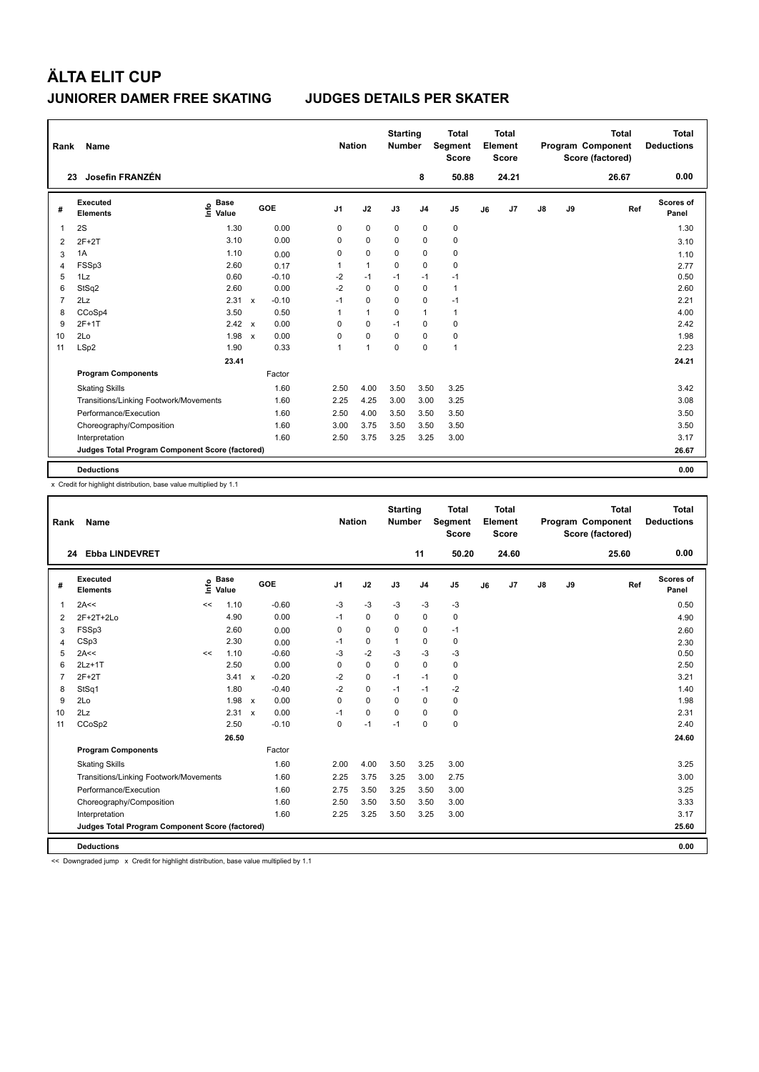| Rank | Name                                            |                                  |              |            |                | <b>Nation</b> |                | <b>Starting</b><br><b>Number</b> |                | <b>Total</b><br>Segment<br><b>Score</b> |    | Total<br><b>Element</b><br><b>Score</b> |               |    | <b>Total</b><br>Program Component<br>Score (factored) | Total<br><b>Deductions</b> |
|------|-------------------------------------------------|----------------------------------|--------------|------------|----------------|---------------|----------------|----------------------------------|----------------|-----------------------------------------|----|-----------------------------------------|---------------|----|-------------------------------------------------------|----------------------------|
|      | Josefin FRANZÉN<br>23                           |                                  |              |            |                |               |                |                                  | 8              | 50.88                                   |    | 24.21                                   |               |    | 26.67                                                 | 0.00                       |
| #    | <b>Executed</b><br><b>Elements</b>              | <b>Base</b><br>e Base<br>⊆ Value |              | <b>GOE</b> | J <sub>1</sub> |               | J2             | J3                               | J <sub>4</sub> | J <sub>5</sub>                          | J6 | J <sub>7</sub>                          | $\mathsf{J}8$ | J9 | Ref                                                   | Scores of<br>Panel         |
| 1    | 2S                                              | 1.30                             |              | 0.00       |                | 0             | $\pmb{0}$      | 0                                | $\pmb{0}$      | $\pmb{0}$                               |    |                                         |               |    |                                                       | 1.30                       |
| 2    | $2F+2T$                                         | 3.10                             |              | 0.00       |                | 0             | $\mathbf 0$    | 0                                | $\mathbf 0$    | $\pmb{0}$                               |    |                                         |               |    |                                                       | 3.10                       |
| 3    | 1A                                              | 1.10                             |              | 0.00       |                | 0             | $\mathbf 0$    | 0                                | $\mathbf 0$    | $\pmb{0}$                               |    |                                         |               |    |                                                       | 1.10                       |
| 4    | FSSp3                                           | 2.60                             |              | 0.17       |                | 1             | $\mathbf{1}$   | 0                                | $\mathbf 0$    | $\pmb{0}$                               |    |                                         |               |    |                                                       | 2.77                       |
| 5    | 1Lz                                             | 0.60                             |              | $-0.10$    |                | $-2$          | $-1$           | $-1$                             | $-1$           | $-1$                                    |    |                                         |               |    |                                                       | 0.50                       |
| 6    | StSq2                                           | 2.60                             |              | 0.00       |                | $-2$          | $\mathbf 0$    | 0                                | $\mathbf 0$    | $\mathbf{1}$                            |    |                                         |               |    |                                                       | 2.60                       |
| 7    | 2Lz                                             | 2.31                             | $\mathsf{x}$ | $-0.10$    | $-1$           |               | 0              | 0                                | 0              | $-1$                                    |    |                                         |               |    |                                                       | 2.21                       |
| 8    | CCoSp4                                          | 3.50                             |              | 0.50       |                | 1             | $\mathbf{1}$   | 0                                | $\mathbf{1}$   | $\mathbf{1}$                            |    |                                         |               |    |                                                       | 4.00                       |
| 9    | 2F+1T                                           | $2.42 \times$                    |              | 0.00       |                | 0             | 0              | $-1$                             | 0              | $\pmb{0}$                               |    |                                         |               |    |                                                       | 2.42                       |
| 10   | 2Lo                                             | 1.98                             | $\mathsf{x}$ | 0.00       |                | 0             | $\mathbf 0$    | $\Omega$                         | 0              | 0                                       |    |                                         |               |    |                                                       | 1.98                       |
| 11   | LSp2                                            | 1.90                             |              | 0.33       |                | 1             | $\overline{1}$ | 0                                | $\mathbf 0$    | $\mathbf{1}$                            |    |                                         |               |    |                                                       | 2.23                       |
|      |                                                 | 23.41                            |              |            |                |               |                |                                  |                |                                         |    |                                         |               |    |                                                       | 24.21                      |
|      | <b>Program Components</b>                       |                                  |              | Factor     |                |               |                |                                  |                |                                         |    |                                         |               |    |                                                       |                            |
|      | <b>Skating Skills</b>                           |                                  |              | 1.60       |                | 2.50          | 4.00           | 3.50                             | 3.50           | 3.25                                    |    |                                         |               |    |                                                       | 3.42                       |
|      | Transitions/Linking Footwork/Movements          |                                  |              | 1.60       |                | 2.25          | 4.25           | 3.00                             | 3.00           | 3.25                                    |    |                                         |               |    |                                                       | 3.08                       |
|      | Performance/Execution                           |                                  |              | 1.60       |                | 2.50          | 4.00           | 3.50                             | 3.50           | 3.50                                    |    |                                         |               |    |                                                       | 3.50                       |
|      | Choreography/Composition                        |                                  |              | 1.60       |                | 3.00          | 3.75           | 3.50                             | 3.50           | 3.50                                    |    |                                         |               |    |                                                       | 3.50                       |
|      | Interpretation                                  |                                  |              | 1.60       |                | 2.50          | 3.75           | 3.25                             | 3.25           | 3.00                                    |    |                                         |               |    |                                                       | 3.17                       |
|      | Judges Total Program Component Score (factored) |                                  |              |            |                |               |                |                                  |                |                                         |    |                                         |               |    |                                                       | 26.67                      |
|      | <b>Deductions</b>                               |                                  |              |            |                |               |                |                                  |                |                                         |    |                                         |               |    |                                                       | 0.00                       |

x Credit for highlight distribution, base value multiplied by 1.1

| Rank           | Name                                            |    |                      |         |                | <b>Nation</b> |          | <b>Starting</b><br><b>Number</b> |                | <b>Total</b><br>Segment<br><b>Score</b> |    | <b>Total</b><br>Element<br><b>Score</b> |               |    | <b>Total</b><br>Program Component<br>Score (factored) |     | <b>Total</b><br><b>Deductions</b> |
|----------------|-------------------------------------------------|----|----------------------|---------|----------------|---------------|----------|----------------------------------|----------------|-----------------------------------------|----|-----------------------------------------|---------------|----|-------------------------------------------------------|-----|-----------------------------------|
|                | 24 Ebba LINDEVRET                               |    |                      |         |                |               |          |                                  | 11             | 50.20                                   |    | 24.60                                   |               |    | 25.60                                                 |     | 0.00                              |
| #              | Executed<br><b>Elements</b>                     | ١m | <b>Base</b><br>Value | GOE     | J <sub>1</sub> |               | J2       | J3                               | J <sub>4</sub> | J <sub>5</sub>                          | J6 | J7                                      | $\mathsf{J}8$ | J9 |                                                       | Ref | Scores of<br>Panel                |
| 1              | 2A<<                                            | << | 1.10                 | $-0.60$ |                | $-3$          | $-3$     | $-3$                             | $-3$           | $-3$                                    |    |                                         |               |    |                                                       |     | 0.50                              |
| 2              | 2F+2T+2Lo                                       |    | 4.90                 | 0.00    | $-1$           |               | 0        | 0                                | $\mathbf 0$    | 0                                       |    |                                         |               |    |                                                       |     | 4.90                              |
| 3              | FSSp3                                           |    | 2.60                 | 0.00    |                | 0             | 0        | $\Omega$                         | 0              | $-1$                                    |    |                                         |               |    |                                                       |     | 2.60                              |
| $\overline{4}$ | CSp3                                            |    | 2.30                 | 0.00    | $-1$           |               | 0        | 1                                | 0              | 0                                       |    |                                         |               |    |                                                       |     | 2.30                              |
| 5              | 2A<<                                            | << | 1.10                 | $-0.60$ |                | $-3$          | $-2$     | $-3$                             | $-3$           | $-3$                                    |    |                                         |               |    |                                                       |     | 0.50                              |
| 6              | $2Lz+1T$                                        |    | 2.50                 | 0.00    |                | 0             | 0        | 0                                | 0              | 0                                       |    |                                         |               |    |                                                       |     | 2.50                              |
| 7              | $2F+2T$                                         |    | 3.41 x               | $-0.20$ |                | $-2$          | 0        | $-1$                             | $-1$           | 0                                       |    |                                         |               |    |                                                       |     | 3.21                              |
| 8              | StSq1                                           |    | 1.80                 | $-0.40$ |                | $-2$          | 0        | $-1$                             | $-1$           | $-2$                                    |    |                                         |               |    |                                                       |     | 1.40                              |
| 9              | 2Lo                                             |    | $1.98 \times$        | 0.00    |                | $\Omega$      | $\Omega$ | $\Omega$                         | $\mathbf 0$    | 0                                       |    |                                         |               |    |                                                       |     | 1.98                              |
| 10             | 2Lz                                             |    | 2.31 x               | 0.00    | $-1$           |               | 0        | $\Omega$                         | 0              | 0                                       |    |                                         |               |    |                                                       |     | 2.31                              |
| 11             | CCoSp2                                          |    | 2.50                 | $-0.10$ |                | 0             | $-1$     | $-1$                             | 0              | 0                                       |    |                                         |               |    |                                                       |     | 2.40                              |
|                |                                                 |    | 26.50                |         |                |               |          |                                  |                |                                         |    |                                         |               |    |                                                       |     | 24.60                             |
|                | <b>Program Components</b>                       |    |                      | Factor  |                |               |          |                                  |                |                                         |    |                                         |               |    |                                                       |     |                                   |
|                | <b>Skating Skills</b>                           |    |                      | 1.60    |                | 2.00          | 4.00     | 3.50                             | 3.25           | 3.00                                    |    |                                         |               |    |                                                       |     | 3.25                              |
|                | Transitions/Linking Footwork/Movements          |    |                      | 1.60    |                | 2.25          | 3.75     | 3.25                             | 3.00           | 2.75                                    |    |                                         |               |    |                                                       |     | 3.00                              |
|                | Performance/Execution                           |    |                      | 1.60    |                | 2.75          | 3.50     | 3.25                             | 3.50           | 3.00                                    |    |                                         |               |    |                                                       |     | 3.25                              |
|                | Choreography/Composition                        |    |                      | 1.60    |                | 2.50          | 3.50     | 3.50                             | 3.50           | 3.00                                    |    |                                         |               |    |                                                       |     | 3.33                              |
|                | Interpretation                                  |    |                      | 1.60    |                | 2.25          | 3.25     | 3.50                             | 3.25           | 3.00                                    |    |                                         |               |    |                                                       |     | 3.17                              |
|                | Judges Total Program Component Score (factored) |    |                      |         |                |               |          |                                  |                |                                         |    |                                         |               |    |                                                       |     | 25.60                             |
|                | <b>Deductions</b>                               |    |                      |         |                |               |          |                                  |                |                                         |    |                                         |               |    |                                                       |     | 0.00                              |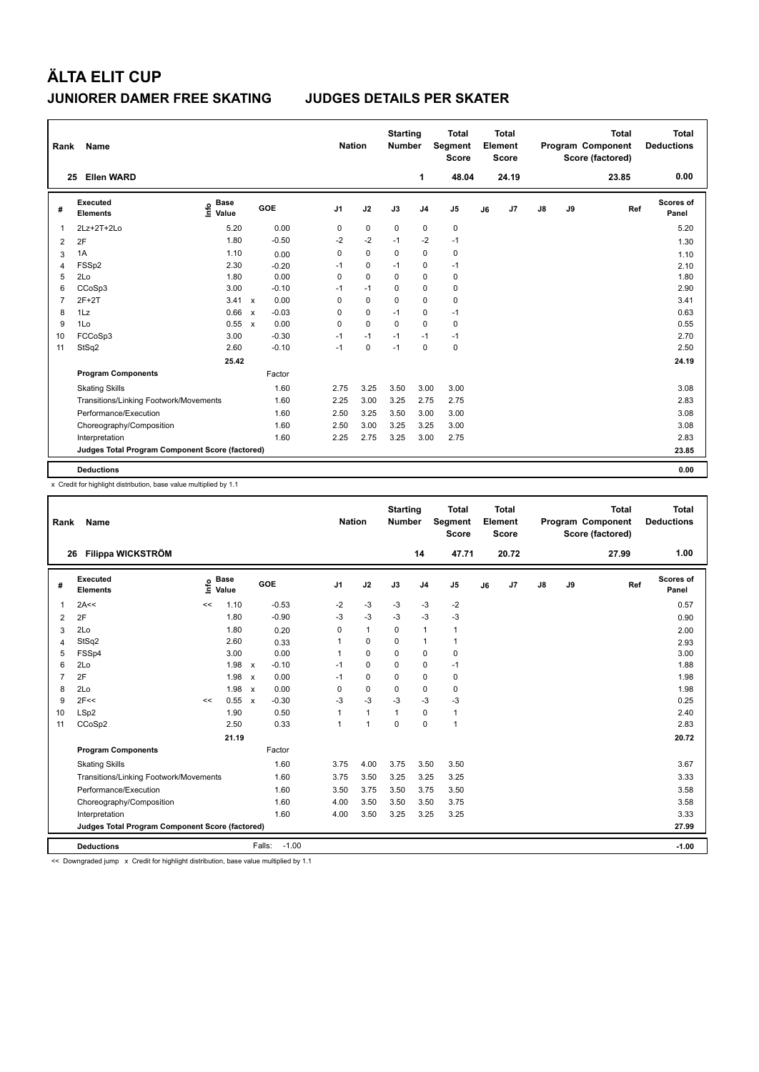| Rank | Name                                            |                              |              |         | <b>Nation</b>  |             | <b>Starting</b><br><b>Number</b> |                | <b>Total</b><br>Segment<br><b>Score</b> |    | <b>Total</b><br>Element<br><b>Score</b> |    |    | <b>Total</b><br>Program Component<br>Score (factored) | <b>Total</b><br><b>Deductions</b> |
|------|-------------------------------------------------|------------------------------|--------------|---------|----------------|-------------|----------------------------------|----------------|-----------------------------------------|----|-----------------------------------------|----|----|-------------------------------------------------------|-----------------------------------|
|      | <b>Ellen WARD</b><br>25                         |                              |              |         |                |             |                                  | 1              | 48.04                                   |    | 24.19                                   |    |    | 23.85                                                 | 0.00                              |
| #    | <b>Executed</b><br><b>Elements</b>              | <b>Base</b><br>١nfo<br>Value |              | GOE     | J <sub>1</sub> | J2          | J3                               | J <sub>4</sub> | J <sub>5</sub>                          | J6 | J7                                      | J8 | J9 | Ref                                                   | <b>Scores of</b><br>Panel         |
| 1    | 2Lz+2T+2Lo                                      | 5.20                         |              | 0.00    | $\mathbf 0$    | $\pmb{0}$   | $\mathbf 0$                      | $\pmb{0}$      | $\pmb{0}$                               |    |                                         |    |    |                                                       | 5.20                              |
| 2    | 2F                                              | 1.80                         |              | $-0.50$ | $-2$           | $-2$        | $-1$                             | $-2$           | $-1$                                    |    |                                         |    |    |                                                       | 1.30                              |
| 3    | 1A                                              | 1.10                         |              | 0.00    | 0              | $\mathbf 0$ | 0                                | $\mathbf 0$    | $\mathbf 0$                             |    |                                         |    |    |                                                       | 1.10                              |
| 4    | FSSp2                                           | 2.30                         |              | $-0.20$ | $-1$           | 0           | $-1$                             | 0              | $-1$                                    |    |                                         |    |    |                                                       | 2.10                              |
| 5    | 2Lo                                             | 1.80                         |              | 0.00    | 0              | $\mathbf 0$ | 0                                | 0              | $\pmb{0}$                               |    |                                         |    |    |                                                       | 1.80                              |
| 6    | CCoSp3                                          | 3.00                         |              | $-0.10$ | $-1$           | $-1$        | $\Omega$                         | $\mathbf 0$    | $\pmb{0}$                               |    |                                         |    |    |                                                       | 2.90                              |
| 7    | $2F+2T$                                         | 3.41                         | $\mathsf{x}$ | 0.00    | 0              | $\mathbf 0$ | 0                                | $\mathbf 0$    | $\pmb{0}$                               |    |                                         |    |    |                                                       | 3.41                              |
| 8    | 1Lz                                             | 0.66                         | $\mathsf{x}$ | $-0.03$ | 0              | 0           | $-1$                             | 0              | $-1$                                    |    |                                         |    |    |                                                       | 0.63                              |
| 9    | 1Lo                                             | 0.55                         | $\mathsf{x}$ | 0.00    | 0              | 0           | $\Omega$                         | $\Omega$       | 0                                       |    |                                         |    |    |                                                       | 0.55                              |
| 10   | FCCoSp3                                         | 3.00                         |              | $-0.30$ | $-1$           | $-1$        | $-1$                             | $-1$           | $-1$                                    |    |                                         |    |    |                                                       | 2.70                              |
| 11   | StSq2                                           | 2.60                         |              | $-0.10$ | $-1$           | 0           | $-1$                             | $\mathbf 0$    | $\pmb{0}$                               |    |                                         |    |    |                                                       | 2.50                              |
|      |                                                 | 25.42                        |              |         |                |             |                                  |                |                                         |    |                                         |    |    |                                                       | 24.19                             |
|      | <b>Program Components</b>                       |                              |              | Factor  |                |             |                                  |                |                                         |    |                                         |    |    |                                                       |                                   |
|      | <b>Skating Skills</b>                           |                              |              | 1.60    | 2.75           | 3.25        | 3.50                             | 3.00           | 3.00                                    |    |                                         |    |    |                                                       | 3.08                              |
|      | Transitions/Linking Footwork/Movements          |                              |              | 1.60    | 2.25           | 3.00        | 3.25                             | 2.75           | 2.75                                    |    |                                         |    |    |                                                       | 2.83                              |
|      | Performance/Execution                           |                              |              | 1.60    | 2.50           | 3.25        | 3.50                             | 3.00           | 3.00                                    |    |                                         |    |    |                                                       | 3.08                              |
|      | Choreography/Composition                        |                              |              | 1.60    | 2.50           | 3.00        | 3.25                             | 3.25           | 3.00                                    |    |                                         |    |    |                                                       | 3.08                              |
|      | Interpretation                                  |                              |              | 1.60    | 2.25           | 2.75        | 3.25                             | 3.00           | 2.75                                    |    |                                         |    |    |                                                       | 2.83                              |
|      | Judges Total Program Component Score (factored) |                              |              |         |                |             |                                  |                |                                         |    |                                         |    |    |                                                       | 23.85                             |
|      | <b>Deductions</b>                               |                              |              |         |                |             |                                  |                |                                         |    |                                         |    |    |                                                       | 0.00                              |

x Credit for highlight distribution, base value multiplied by 1.1

| Rank           | Name                                            |      |                      |                           |                   | <b>Nation</b>  |                      | <b>Starting</b><br><b>Number</b> |                | <b>Total</b><br>Segment<br><b>Score</b> |    | Total<br>Element<br><b>Score</b> |               |    | <b>Total</b><br>Program Component<br>Score (factored) |     | <b>Total</b><br><b>Deductions</b> |
|----------------|-------------------------------------------------|------|----------------------|---------------------------|-------------------|----------------|----------------------|----------------------------------|----------------|-----------------------------------------|----|----------------------------------|---------------|----|-------------------------------------------------------|-----|-----------------------------------|
|                | <b>Filippa WICKSTRÖM</b><br>26                  |      |                      |                           |                   |                |                      |                                  | 14             | 47.71                                   |    | 20.72                            |               |    | 27.99                                                 |     | 1.00                              |
| #              | <b>Executed</b><br><b>Elements</b>              | lnfo | <b>Base</b><br>Value |                           | <b>GOE</b>        | J <sub>1</sub> | J2                   | J3                               | J <sub>4</sub> | J5                                      | J6 | J7                               | $\mathsf{J}8$ | J9 |                                                       | Ref | Scores of<br>Panel                |
| $\mathbf 1$    | 2A<<                                            | <<   | 1.10                 |                           | $-0.53$           | $-2$           | $-3$                 | $-3$                             | $-3$           | $-2$                                    |    |                                  |               |    |                                                       |     | 0.57                              |
| 2              | 2F                                              |      | 1.80                 |                           | $-0.90$           | $-3$           | $-3$                 | $-3$                             | $-3$           | $-3$                                    |    |                                  |               |    |                                                       |     | 0.90                              |
| 3              | 2Lo                                             |      | 1.80                 |                           | 0.20              | $\Omega$       | $\mathbf{1}$         | $\Omega$                         | $\mathbf{1}$   | 1                                       |    |                                  |               |    |                                                       |     | 2.00                              |
| $\overline{4}$ | StSq2                                           |      | 2.60                 |                           | 0.33              | 1              | 0                    | 0                                | $\mathbf{1}$   | 1                                       |    |                                  |               |    |                                                       |     | 2.93                              |
| 5              | FSSp4                                           |      | 3.00                 |                           | 0.00              | 1              | $\mathbf 0$          | $\Omega$                         | $\mathbf 0$    | 0                                       |    |                                  |               |    |                                                       |     | 3.00                              |
| 6              | 2Lo                                             |      | 1.98                 | $\mathsf{x}$              | $-0.10$           | $-1$           | 0                    | 0                                | 0              | $-1$                                    |    |                                  |               |    |                                                       |     | 1.88                              |
| $\overline{7}$ | 2F                                              |      | $1.98 \times$        |                           | 0.00              | $-1$           | $\Omega$             | 0                                | $\Omega$       | 0                                       |    |                                  |               |    |                                                       |     | 1.98                              |
| 8              | 2Lo                                             |      | 1.98                 | $\mathsf{x}$              | 0.00              | 0              | 0                    | $\mathbf 0$                      | 0              | 0                                       |    |                                  |               |    |                                                       |     | 1.98                              |
| 9              | 2F<<                                            | <<   | 0.55                 | $\boldsymbol{\mathsf{x}}$ | $-0.30$           | $-3$           | $-3$                 | $-3$                             | $-3$           | $-3$                                    |    |                                  |               |    |                                                       |     | 0.25                              |
| 10             | LSp2                                            |      | 1.90                 |                           | 0.50              | 1              | $\mathbf{1}$         | $\mathbf{1}$                     | $\mathbf 0$    | 1                                       |    |                                  |               |    |                                                       |     | 2.40                              |
| 11             | CCoSp2                                          |      | 2.50                 |                           | 0.33              | 1              | $\blacktriangleleft$ | $\Omega$                         | $\Omega$       | $\mathbf{1}$                            |    |                                  |               |    |                                                       |     | 2.83                              |
|                |                                                 |      | 21.19                |                           |                   |                |                      |                                  |                |                                         |    |                                  |               |    |                                                       |     | 20.72                             |
|                | <b>Program Components</b>                       |      |                      |                           | Factor            |                |                      |                                  |                |                                         |    |                                  |               |    |                                                       |     |                                   |
|                | <b>Skating Skills</b>                           |      |                      |                           | 1.60              | 3.75           | 4.00                 | 3.75                             | 3.50           | 3.50                                    |    |                                  |               |    |                                                       |     | 3.67                              |
|                | Transitions/Linking Footwork/Movements          |      |                      |                           | 1.60              | 3.75           | 3.50                 | 3.25                             | 3.25           | 3.25                                    |    |                                  |               |    |                                                       |     | 3.33                              |
|                | Performance/Execution                           |      |                      |                           | 1.60              | 3.50           | 3.75                 | 3.50                             | 3.75           | 3.50                                    |    |                                  |               |    |                                                       |     | 3.58                              |
|                | Choreography/Composition                        |      |                      |                           | 1.60              | 4.00           | 3.50                 | 3.50                             | 3.50           | 3.75                                    |    |                                  |               |    |                                                       |     | 3.58                              |
|                | Interpretation                                  |      |                      |                           | 1.60              | 4.00           | 3.50                 | 3.25                             | 3.25           | 3.25                                    |    |                                  |               |    |                                                       |     | 3.33                              |
|                | Judges Total Program Component Score (factored) |      |                      |                           |                   |                |                      |                                  |                |                                         |    |                                  |               |    |                                                       |     | 27.99                             |
|                | <b>Deductions</b>                               |      |                      |                           | $-1.00$<br>Falls: |                |                      |                                  |                |                                         |    |                                  |               |    |                                                       |     | $-1.00$                           |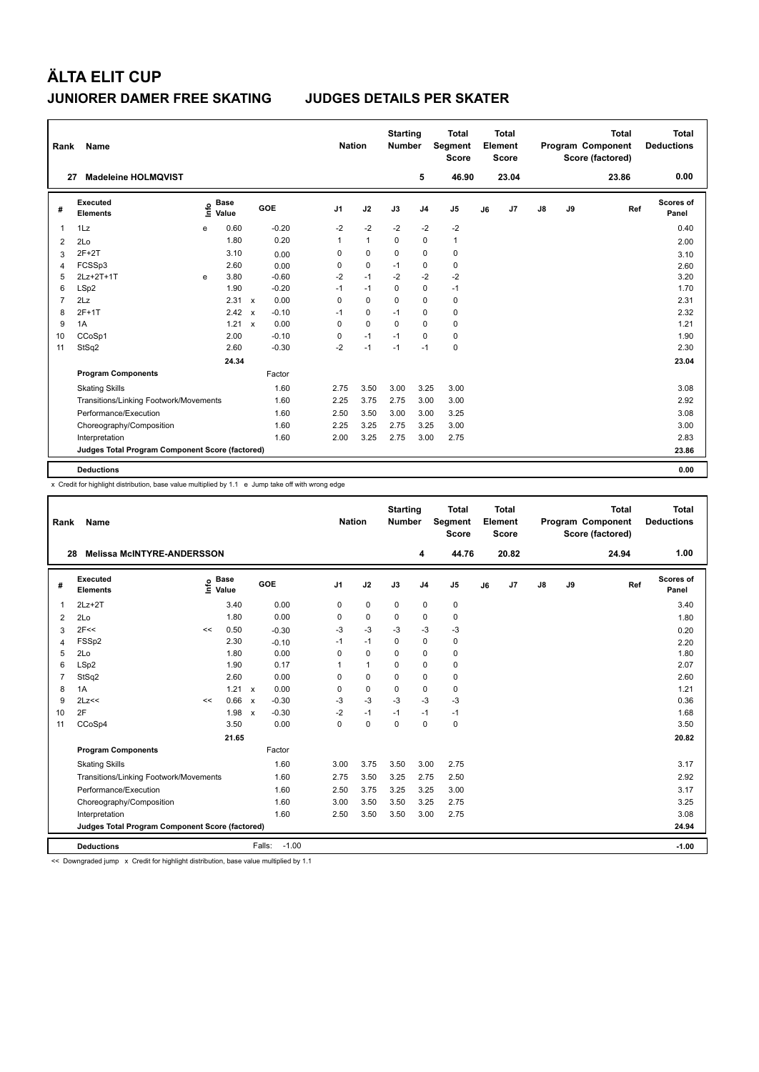| Rank           | Name                                            |   |                      |              |         | <b>Nation</b>  |                | <b>Starting</b><br><b>Number</b> |                | <b>Total</b><br>Segment<br><b>Score</b> |    | <b>Total</b><br>Element<br><b>Score</b> |               |    | <b>Total</b><br>Program Component<br>Score (factored) | <b>Deductions</b>         | <b>Total</b> |
|----------------|-------------------------------------------------|---|----------------------|--------------|---------|----------------|----------------|----------------------------------|----------------|-----------------------------------------|----|-----------------------------------------|---------------|----|-------------------------------------------------------|---------------------------|--------------|
| 27             | <b>Madeleine HOLMOVIST</b>                      |   |                      |              |         |                |                |                                  | 5              | 46.90                                   |    | 23.04                                   |               |    | 23.86                                                 |                           | 0.00         |
| #              | <b>Executed</b><br><b>Elements</b>              | e | <b>Base</b><br>Value |              | GOE     | J <sub>1</sub> | J2             | J3                               | J <sub>4</sub> | J <sub>5</sub>                          | J6 | J7                                      | $\mathsf{J}8$ | J9 | Ref                                                   | <b>Scores of</b><br>Panel |              |
| 1              | 1Lz                                             | e | 0.60                 |              | $-0.20$ | $-2$           | $-2$           | $-2$                             | $-2$           | $-2$                                    |    |                                         |               |    |                                                       |                           | 0.40         |
| 2              | 2Lo                                             |   | 1.80                 |              | 0.20    | 1              | $\overline{1}$ | $\Omega$                         | $\mathbf 0$    | $\mathbf{1}$                            |    |                                         |               |    |                                                       |                           | 2.00         |
| 3              | $2F+2T$                                         |   | 3.10                 |              | 0.00    | 0              | 0              | 0                                | $\mathbf 0$    | 0                                       |    |                                         |               |    |                                                       |                           | 3.10         |
| 4              | FCSSp3                                          |   | 2.60                 |              | 0.00    | 0              | 0              | $-1$                             | 0              | 0                                       |    |                                         |               |    |                                                       |                           | 2.60         |
| 5              | 2Lz+2T+1T                                       | e | 3.80                 |              | $-0.60$ | $-2$           | $-1$           | $-2$                             | $-2$           | $-2$                                    |    |                                         |               |    |                                                       |                           | 3.20         |
| 6              | LSp2                                            |   | 1.90                 |              | $-0.20$ | $-1$           | $-1$           | 0                                | $\pmb{0}$      | $-1$                                    |    |                                         |               |    |                                                       |                           | 1.70         |
| $\overline{7}$ | 2Lz                                             |   | $2.31 \times$        |              | 0.00    | 0              | 0              | 0                                | 0              | 0                                       |    |                                         |               |    |                                                       |                           | 2.31         |
| 8              | $2F+1T$                                         |   | 2.42                 | $\mathbf{x}$ | $-0.10$ | $-1$           | 0              | $-1$                             | 0              | 0                                       |    |                                         |               |    |                                                       |                           | 2.32         |
| 9              | 1A                                              |   | $1.21 \times$        |              | 0.00    | 0              | 0              | $\Omega$                         | 0              | 0                                       |    |                                         |               |    |                                                       |                           | 1.21         |
| 10             | CCoSp1                                          |   | 2.00                 |              | $-0.10$ | 0              | $-1$           | $-1$                             | 0              | 0                                       |    |                                         |               |    |                                                       |                           | 1.90         |
| 11             | StSq2                                           |   | 2.60                 |              | $-0.30$ | $-2$           | $-1$           | $-1$                             | $-1$           | $\mathbf 0$                             |    |                                         |               |    |                                                       |                           | 2.30         |
|                |                                                 |   | 24.34                |              |         |                |                |                                  |                |                                         |    |                                         |               |    |                                                       |                           | 23.04        |
|                | <b>Program Components</b>                       |   |                      |              | Factor  |                |                |                                  |                |                                         |    |                                         |               |    |                                                       |                           |              |
|                | <b>Skating Skills</b>                           |   |                      |              | 1.60    | 2.75           | 3.50           | 3.00                             | 3.25           | 3.00                                    |    |                                         |               |    |                                                       |                           | 3.08         |
|                | Transitions/Linking Footwork/Movements          |   |                      |              | 1.60    | 2.25           | 3.75           | 2.75                             | 3.00           | 3.00                                    |    |                                         |               |    |                                                       |                           | 2.92         |
|                | Performance/Execution                           |   |                      |              | 1.60    | 2.50           | 3.50           | 3.00                             | 3.00           | 3.25                                    |    |                                         |               |    |                                                       |                           | 3.08         |
|                | Choreography/Composition                        |   |                      |              | 1.60    | 2.25           | 3.25           | 2.75                             | 3.25           | 3.00                                    |    |                                         |               |    |                                                       |                           | 3.00         |
|                | Interpretation                                  |   |                      |              | 1.60    | 2.00           | 3.25           | 2.75                             | 3.00           | 2.75                                    |    |                                         |               |    |                                                       |                           | 2.83         |
|                | Judges Total Program Component Score (factored) |   |                      |              |         |                |                |                                  |                |                                         |    |                                         |               |    |                                                       |                           | 23.86        |
|                | <b>Deductions</b>                               |   |                      |              |         |                |                |                                  |                |                                         |    |                                         |               |    |                                                       |                           | 0.00         |

x Credit for highlight distribution, base value multiplied by 1.1 e Jump take off with wrong edge

| Rank                                            | Name                                   |    |                      |              |                   | <b>Nation</b>  |              | <b>Starting</b><br><b>Number</b> |                | Total<br>Segment<br><b>Score</b> |    | Total<br>Element<br><b>Score</b> |    |    | <b>Total</b><br>Program Component<br>Score (factored) | <b>Total</b><br><b>Deductions</b> |
|-------------------------------------------------|----------------------------------------|----|----------------------|--------------|-------------------|----------------|--------------|----------------------------------|----------------|----------------------------------|----|----------------------------------|----|----|-------------------------------------------------------|-----------------------------------|
| 28                                              | <b>Melissa McINTYRE-ANDERSSON</b>      |    |                      |              |                   |                |              |                                  | 4              | 44.76                            |    | 20.82                            |    |    | 24.94                                                 | 1.00                              |
| #                                               | Executed<br><b>Elements</b>            | ١ų | <b>Base</b><br>Value |              | <b>GOE</b>        | J <sub>1</sub> | J2           | J3                               | J <sub>4</sub> | J <sub>5</sub>                   | J6 | J <sub>7</sub>                   | J8 | J9 | Ref                                                   | Scores of<br>Panel                |
| 1                                               | $2Lz+2T$                               |    | 3.40                 |              | 0.00              | 0              | $\mathbf 0$  | $\mathbf 0$                      | $\mathbf 0$    | 0                                |    |                                  |    |    |                                                       | 3.40                              |
| $\overline{2}$                                  | 2Lo                                    |    | 1.80                 |              | 0.00              | 0              | $\mathbf 0$  | $\Omega$                         | $\Omega$       | 0                                |    |                                  |    |    |                                                       | 1.80                              |
| 3                                               | 2F<<                                   | << | 0.50                 |              | $-0.30$           | -3             | $-3$         | $-3$                             | $-3$           | $-3$                             |    |                                  |    |    |                                                       | 0.20                              |
| 4                                               | FSSp2                                  |    | 2.30                 |              | $-0.10$           | $-1$           | $-1$         | $\mathbf 0$                      | $\mathbf 0$    | 0                                |    |                                  |    |    |                                                       | 2.20                              |
| 5                                               | 2Lo                                    |    | 1.80                 |              | 0.00              | $\Omega$       | $\Omega$     | $\Omega$                         | $\mathbf 0$    | 0                                |    |                                  |    |    |                                                       | 1.80                              |
| 6                                               | LSp2                                   |    | 1.90                 |              | 0.17              |                | $\mathbf{1}$ | $\Omega$                         | $\Omega$       | 0                                |    |                                  |    |    |                                                       | 2.07                              |
| $\overline{7}$                                  | StSq2                                  |    | 2.60                 |              | 0.00              | $\Omega$       | $\Omega$     | $\Omega$                         | $\Omega$       | 0                                |    |                                  |    |    |                                                       | 2.60                              |
| 8                                               | 1A                                     |    | 1.21                 | $\mathsf{x}$ | 0.00              | 0              | $\mathbf 0$  | $\mathbf 0$                      | $\mathbf 0$    | 0                                |    |                                  |    |    |                                                       | 1.21                              |
| 9                                               | 2Lz<<                                  | << | 0.66                 | $\mathbf{x}$ | $-0.30$           | $-3$           | $-3$         | $-3$                             | $-3$           | $-3$                             |    |                                  |    |    |                                                       | 0.36                              |
| 10                                              | 2F                                     |    | 1.98                 | $\mathsf{x}$ | $-0.30$           | $-2$           | $-1$         | $-1$                             | $-1$           | $-1$                             |    |                                  |    |    |                                                       | 1.68                              |
| 11                                              | CCoSp4                                 |    | 3.50                 |              | 0.00              | $\Omega$       | $\mathbf 0$  | $\Omega$                         | $\Omega$       | 0                                |    |                                  |    |    |                                                       | 3.50                              |
|                                                 |                                        |    | 21.65                |              |                   |                |              |                                  |                |                                  |    |                                  |    |    |                                                       | 20.82                             |
|                                                 | <b>Program Components</b>              |    |                      |              | Factor            |                |              |                                  |                |                                  |    |                                  |    |    |                                                       |                                   |
|                                                 | <b>Skating Skills</b>                  |    |                      |              | 1.60              | 3.00           | 3.75         | 3.50                             | 3.00           | 2.75                             |    |                                  |    |    |                                                       | 3.17                              |
|                                                 | Transitions/Linking Footwork/Movements |    |                      |              | 1.60              | 2.75           | 3.50         | 3.25                             | 2.75           | 2.50                             |    |                                  |    |    |                                                       | 2.92                              |
|                                                 | Performance/Execution                  |    |                      |              | 1.60              | 2.50           | 3.75         | 3.25                             | 3.25           | 3.00                             |    |                                  |    |    |                                                       | 3.17                              |
|                                                 | Choreography/Composition               |    |                      |              | 1.60              | 3.00           | 3.50         | 3.50                             | 3.25           | 2.75                             |    |                                  |    |    |                                                       | 3.25                              |
|                                                 | Interpretation                         |    |                      |              | 1.60              | 2.50           | 3.50         | 3.50                             | 3.00           | 2.75                             |    |                                  |    |    |                                                       | 3.08                              |
| Judges Total Program Component Score (factored) |                                        |    |                      |              |                   |                |              |                                  |                |                                  |    | 24.94                            |    |    |                                                       |                                   |
|                                                 | <b>Deductions</b>                      |    |                      |              | $-1.00$<br>Falls: |                |              |                                  |                |                                  |    |                                  |    |    |                                                       | $-1.00$                           |